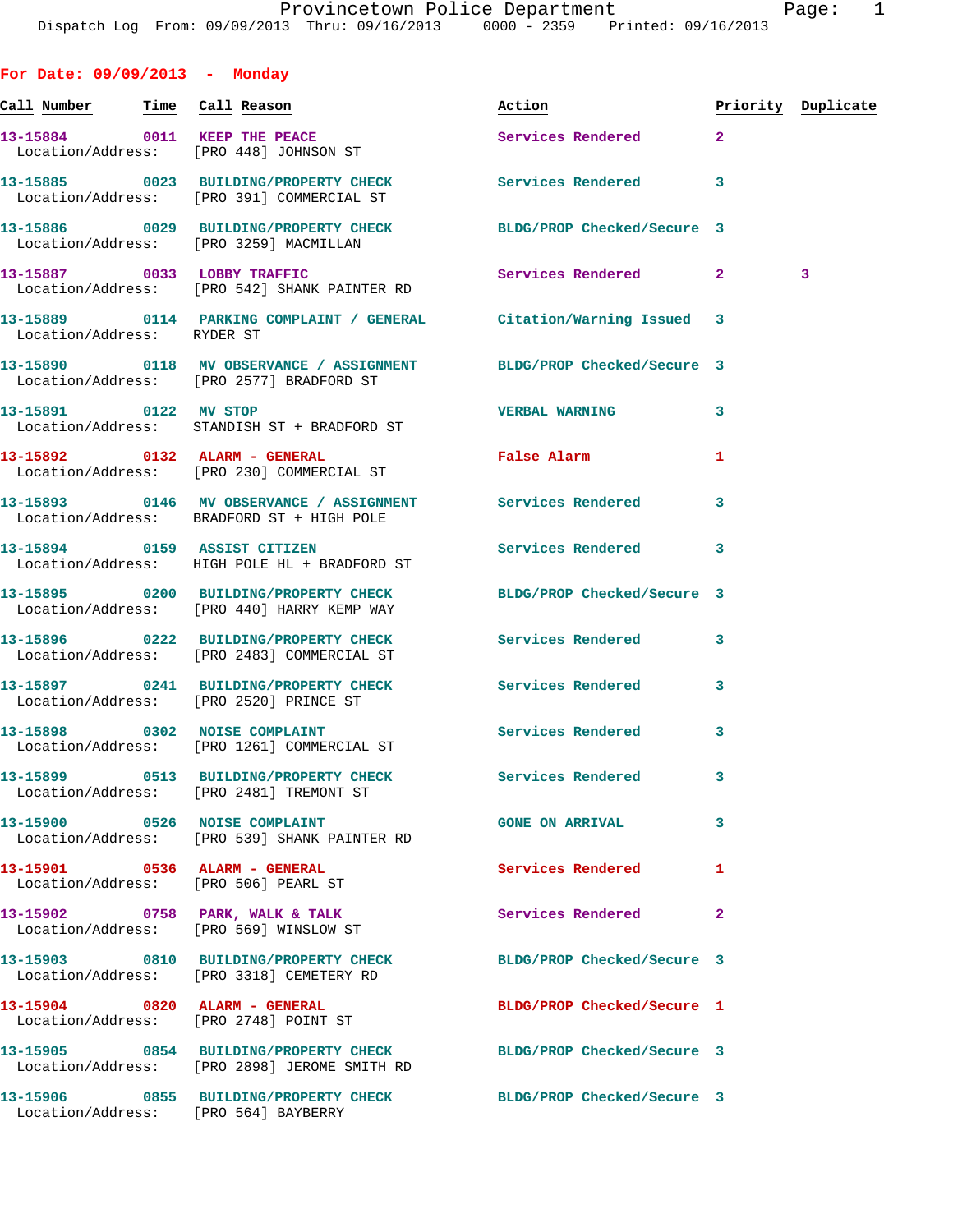| For Date: $09/09/2013$ - Monday                                        |                                                                                                                  |                            |              |                    |
|------------------------------------------------------------------------|------------------------------------------------------------------------------------------------------------------|----------------------------|--------------|--------------------|
| <u>Call Number — Time Call Reason</u>                                  |                                                                                                                  | Action                     |              | Priority Duplicate |
| 13-15884 0011 KEEP THE PEACE<br>Location/Address: [PRO 448] JOHNSON ST |                                                                                                                  | Services Rendered          | $\mathbf{2}$ |                    |
|                                                                        | 13-15885 0023 BUILDING/PROPERTY CHECK Services Rendered<br>Location/Address: [PRO 391] COMMERCIAL ST             |                            | 3            |                    |
| Location/Address: [PRO 3259] MACMILLAN                                 | 13-15886 0029 BUILDING/PROPERTY CHECK BLDG/PROP Checked/Secure 3                                                 |                            |              |                    |
|                                                                        | 13-15887 0033 LOBBY TRAFFIC<br>Location/Address: [PRO 542] SHANK PAINTER RD                                      | Services Rendered 2        |              | 3                  |
| Location/Address: RYDER ST                                             | 13-15889 0114 PARKING COMPLAINT / GENERAL Citation/Warning Issued 3                                              |                            |              |                    |
|                                                                        | 13-15890 0118 MV OBSERVANCE / ASSIGNMENT BLDG/PROP Checked/Secure 3<br>Location/Address: [PRO 2577] BRADFORD ST  |                            |              |                    |
| 13-15891 0122 MV STOP                                                  | Location/Address: STANDISH ST + BRADFORD ST                                                                      | <b>VERBAL WARNING</b>      | 3            |                    |
|                                                                        | 13-15892 0132 ALARM - GENERAL<br>Location/Address: [PRO 230] COMMERCIAL ST                                       | False Alarm                | 1            |                    |
|                                                                        | 13-15893 0146 MV OBSERVANCE / ASSIGNMENT Services Rendered<br>Location/Address: BRADFORD ST + HIGH POLE          |                            | 3            |                    |
|                                                                        | 13-15894 0159 ASSIST CITIZEN<br>Location/Address: HIGH POLE HL + BRADFORD ST                                     | Services Rendered 3        |              |                    |
|                                                                        | 13-15895 0200 BUILDING/PROPERTY CHECK BLDG/PROP Checked/Secure 3<br>Location/Address: [PRO 440] HARRY KEMP WAY   |                            |              |                    |
|                                                                        | 13-15896 0222 BUILDING/PROPERTY CHECK Services Rendered<br>Location/Address: [PRO 2483] COMMERCIAL ST            |                            | 3            |                    |
|                                                                        | 13-15897 0241 BUILDING/PROPERTY CHECK<br>Location/Address: [PRO 2520] PRINCE ST                                  | <b>Services Rendered</b>   | 3            |                    |
|                                                                        | 13-15898 0302 NOISE COMPLAINT<br>Location/Address: [PRO 1261] COMMERCIAL ST                                      | Services Rendered 3        |              |                    |
|                                                                        | 13-15899 0513 BUILDING/PROPERTY CHECK<br>Location/Address: [PRO 2481] TREMONT ST                                 | Services Rendered          | 3            |                    |
|                                                                        | 13-15900 0526 NOISE COMPLAINT<br>Location/Address: [PRO 539] SHANK PAINTER RD                                    | <b>GONE ON ARRIVAL</b>     | 3            |                    |
| 13-15901 0536 ALARM - GENERAL<br>Location/Address: [PRO 506] PEARL ST  |                                                                                                                  | Services Rendered          | 1            |                    |
| 13-15902 0758 PARK, WALK & TALK                                        | Location/Address: [PRO 569] WINSLOW ST                                                                           | Services Rendered          | $\mathbf{2}$ |                    |
|                                                                        | 13-15903 0810 BUILDING/PROPERTY CHECK<br>Location/Address: [PRO 3318] CEMETERY RD                                | BLDG/PROP Checked/Secure 3 |              |                    |
| 13-15904 0820 ALARM - GENERAL                                          | Location/Address: [PRO 2748] POINT ST                                                                            | BLDG/PROP Checked/Secure 1 |              |                    |
|                                                                        | 13-15905 0854 BUILDING/PROPERTY CHECK BLDG/PROP Checked/Secure 3<br>Location/Address: [PRO 2898] JEROME SMITH RD |                            |              |                    |
| Location/Address: [PRO 564] BAYBERRY                                   | 13-15906 0855 BUILDING/PROPERTY CHECK BLDG/PROP Checked/Secure 3                                                 |                            |              |                    |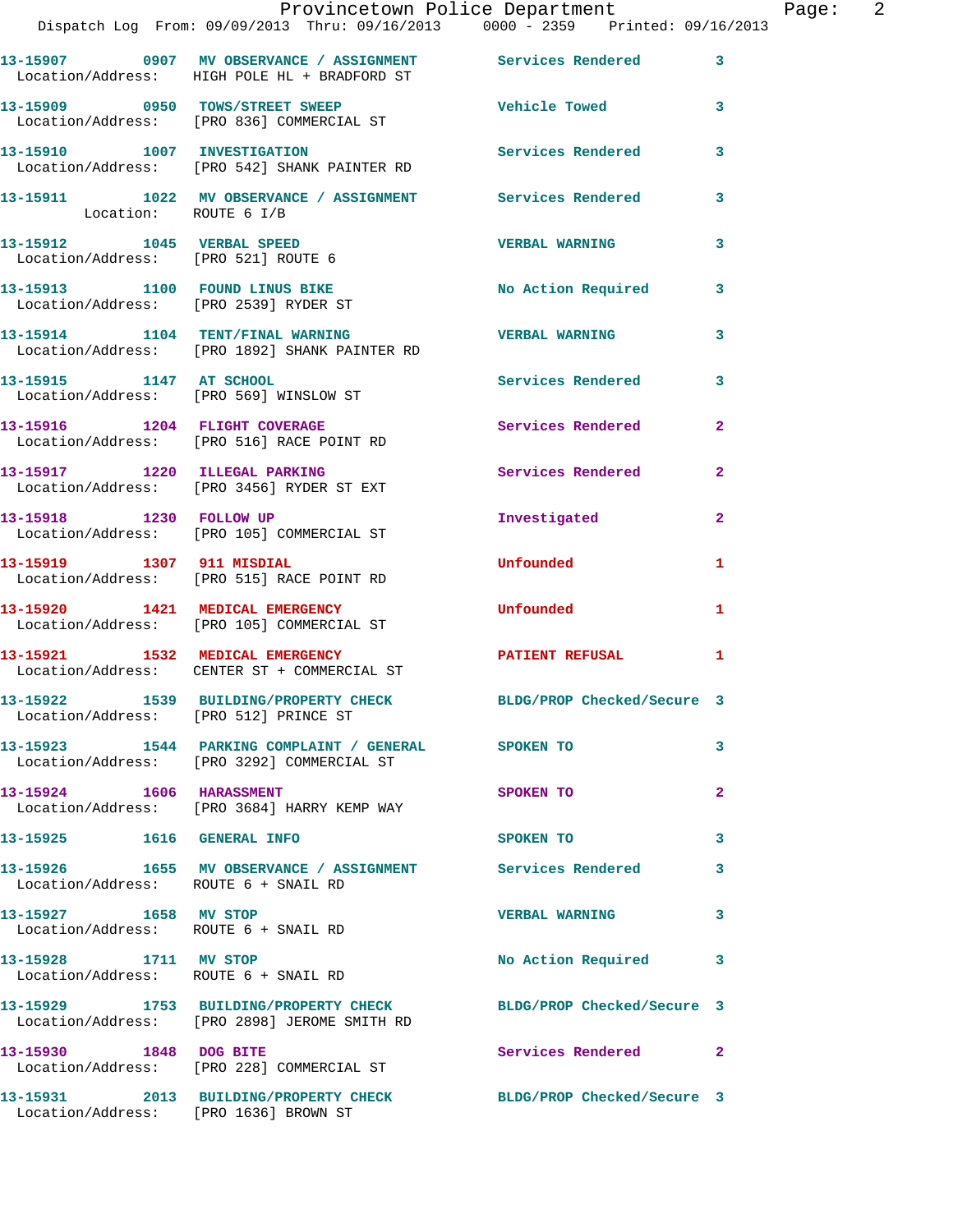|                                                                         | Provincetown Police Department<br>Dispatch Log From: 09/09/2013 Thru: 09/16/2013 0000 - 2359 Printed: 09/16/2013 |                            |                |
|-------------------------------------------------------------------------|------------------------------------------------------------------------------------------------------------------|----------------------------|----------------|
|                                                                         |                                                                                                                  |                            | 3              |
|                                                                         | 13-15909 0950 TOWS/STREET SWEEP<br>Location/Address: [PRO 836] COMMERCIAL ST                                     | <b>Vehicle Towed</b>       | 3              |
|                                                                         | 13-15910 1007 INVESTIGATION<br>Location/Address: [PRO 542] SHANK PAINTER RD                                      | <b>Services Rendered</b>   | 3              |
| Location: ROUTE 6 I/B                                                   | 13-15911 1022 MV OBSERVANCE / ASSIGNMENT Services Rendered                                                       |                            | 3              |
| 13-15912 1045 VERBAL SPEED<br>Location/Address: [PRO 521] ROUTE 6       |                                                                                                                  | <b>VERBAL WARNING</b>      | 3              |
| 13-15913 1100 FOUND LINUS BIKE<br>Location/Address: [PRO 2539] RYDER ST |                                                                                                                  | <b>No Action Required</b>  | 3              |
|                                                                         | 13-15914 1104 TENT/FINAL WARNING<br>Location/Address: [PRO 1892] SHANK PAINTER RD                                | <b>VERBAL WARNING</b>      | 3              |
| 13-15915 1147 AT SCHOOL                                                 | Location/Address: [PRO 569] WINSLOW ST                                                                           | <b>Services Rendered</b>   | 3              |
|                                                                         | 13-15916 1204 FLIGHT COVERAGE<br>Location/Address: [PRO 516] RACE POINT RD                                       | <b>Services Rendered</b>   | $\mathbf{2}$   |
|                                                                         | 13-15917 1220 ILLEGAL PARKING<br>Location/Address: [PRO 3456] RYDER ST EXT                                       | Services Rendered          | $\mathbf{2}$   |
| 13-15918 1230 FOLLOW UP                                                 | Location/Address: [PRO 105] COMMERCIAL ST                                                                        | Investigated               | $\mathbf{2}$   |
|                                                                         | 13-15919 1307 911 MISDIAL<br>Location/Address: [PRO 515] RACE POINT RD                                           | Unfounded                  | 1              |
|                                                                         | 13-15920 1421 MEDICAL EMERGENCY<br>Location/Address: [PRO 105] COMMERCIAL ST                                     | Unfounded                  | 1              |
|                                                                         | 13-15921 1532 MEDICAL EMERGENCY<br>Location/Address: CENTER ST + COMMERCIAL ST                                   | PATIENT REFUSAL            | 1              |
| Location/Address: [PRO 512] PRINCE ST                                   | 13-15922 1539 BUILDING/PROPERTY CHECK                                                                            | BLDG/PROP Checked/Secure 3 |                |
|                                                                         | 13-15923 1544 PARKING COMPLAINT / GENERAL SPOKEN TO<br>Location/Address: [PRO 3292] COMMERCIAL ST                |                            | 3              |
| 13-15924 1606 HARASSMENT                                                | Location/Address: [PRO 3684] HARRY KEMP WAY                                                                      | SPOKEN TO                  | 2              |
| 13-15925    1616    GENERAL INFO                                        |                                                                                                                  | <b>SPOKEN TO</b>           | 3              |
| Location/Address: ROUTE 6 + SNAIL RD                                    | 13-15926 1655 MV OBSERVANCE / ASSIGNMENT Services Rendered                                                       |                            | 3              |
| 13-15927 1658 MV STOP<br>Location/Address: ROUTE 6 + SNAIL RD           |                                                                                                                  | <b>VERBAL WARNING</b>      | 3              |
| 13-15928 1711 MV STOP                                                   | Location/Address: ROUTE 6 + SNAIL RD                                                                             | No Action Required         | 3              |
|                                                                         | 13-15929 1753 BUILDING/PROPERTY CHECK BLDG/PROP Checked/Secure 3<br>Location/Address: [PRO 2898] JEROME SMITH RD |                            |                |
| 13-15930 1848 DOG BITE                                                  | Location/Address: [PRO 228] COMMERCIAL ST                                                                        | Services Rendered          | $\overline{2}$ |
| Location/Address: [PRO 1636] BROWN ST                                   | 13-15931 2013 BUILDING/PROPERTY CHECK BLDG/PROP Checked/Secure 3                                                 |                            |                |

Page: 2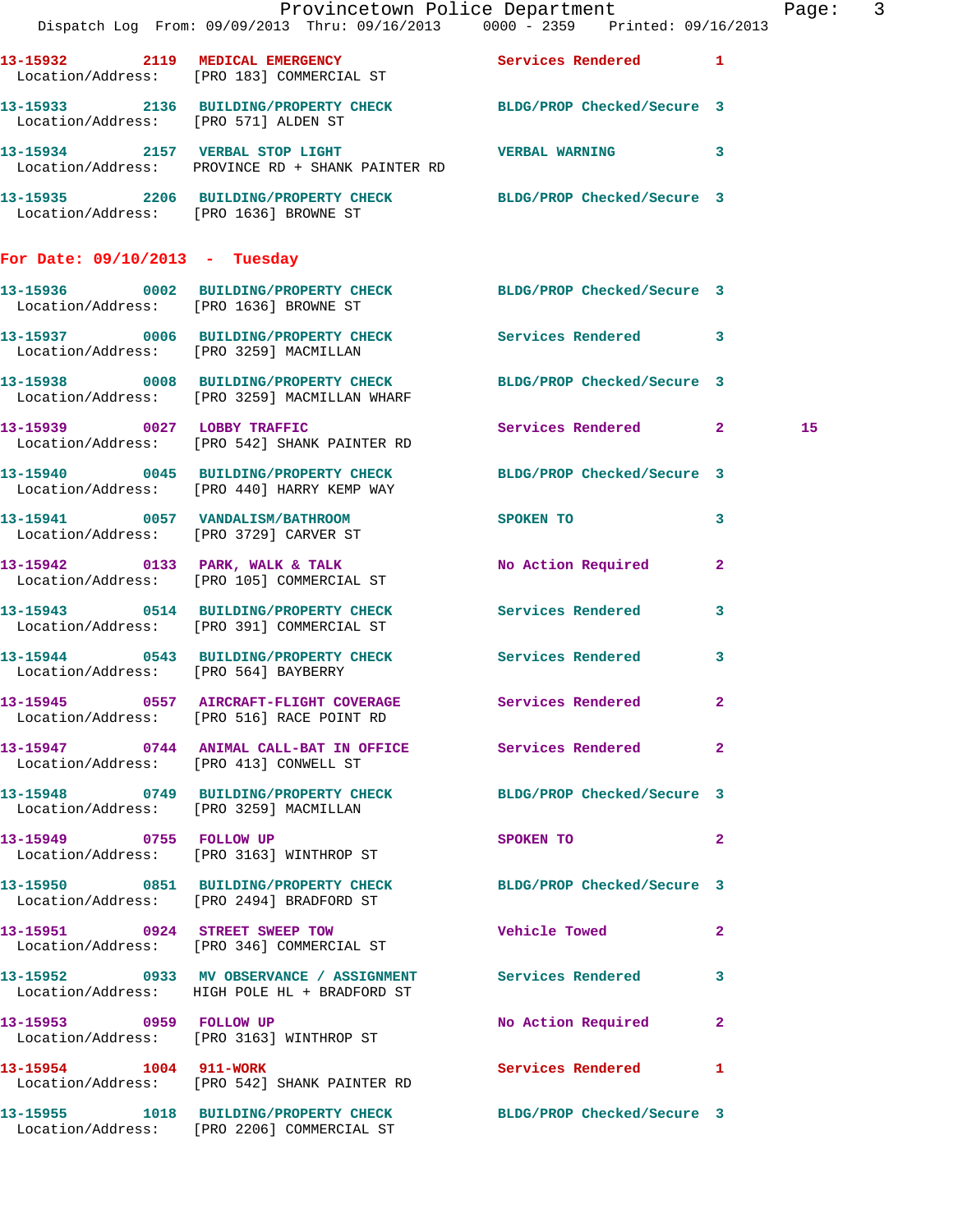|                                        |                                                                                                                  | Provincetown Police Department                                                 | Page: 3 |  |
|----------------------------------------|------------------------------------------------------------------------------------------------------------------|--------------------------------------------------------------------------------|---------|--|
|                                        |                                                                                                                  | Dispatch Log From: 09/09/2013 Thru: 09/16/2013 0000 - 2359 Printed: 09/16/2013 |         |  |
|                                        | 13-15932 2119 MEDICAL EMERGENCY Services Rendered 1<br>Location/Address: [PRO 183] COMMERCIAL ST                 |                                                                                |         |  |
|                                        | 13-15933 2136 BUILDING/PROPERTY CHECK BLDG/PROP Checked/Secure 3<br>Location/Address: [PRO 571] ALDEN ST         |                                                                                |         |  |
|                                        | 13-15934 2157 VERBAL STOP LIGHT VERBAL WARNING 3<br>Location/Address: PROVINCE RD + SHANK PAINTER RD             |                                                                                |         |  |
|                                        | 13-15935 2206 BUILDING/PROPERTY CHECK BLDG/PROP Checked/Secure 3<br>Location/Address: [PRO 1636] BROWNE ST       |                                                                                |         |  |
| For Date: $09/10/2013$ - Tuesday       |                                                                                                                  |                                                                                |         |  |
|                                        | 13-15936 0002 BUILDING/PROPERTY CHECK BLDG/PROP Checked/Secure 3<br>Location/Address: [PRO 1636] BROWNE ST       |                                                                                |         |  |
|                                        | 13-15937 0006 BUILDING/PROPERTY CHECK Services Rendered 3<br>Location/Address: [PRO 3259] MACMILLAN              |                                                                                |         |  |
|                                        | 13-15938 0008 BUILDING/PROPERTY CHECK BLDG/PROP Checked/Secure 3<br>Location/Address: [PRO 3259] MACMILLAN WHARF |                                                                                |         |  |
|                                        | 13-15939 0027 LOBBY TRAFFIC<br>Location/Address: [PRO 542] SHANK PAINTER RD                                      | Services Rendered 2                                                            | 15      |  |
|                                        | 13-15940 0045 BUILDING/PROPERTY CHECK BLDG/PROP Checked/Secure 3<br>Location/Address: [PRO 440] HARRY KEMP WAY   |                                                                                |         |  |
|                                        | 13-15941 0057 VANDALISM/BATHROOM SPOKEN TO 3<br>Location/Address: [PRO 3729] CARVER ST                           |                                                                                |         |  |
|                                        | 13-15942 0133 PARK, WALK & TALK<br>Location/Address: [PRO 105] COMMERCIAL ST                                     | No Action Required 2                                                           |         |  |
|                                        | 13-15943 0514 BUILDING/PROPERTY CHECK Services Rendered 3<br>Location/Address: [PRO 391] COMMERCIAL ST           |                                                                                |         |  |
| Location/Address: [PRO 564] BAYBERRY   | 13-15944 0543 BUILDING/PROPERTY CHECK Services Rendered                                                          | $\mathbf{3}$                                                                   |         |  |
|                                        | 13-15945 0557 AIRCRAFT-FLIGHT COVERAGE<br>Location/Address: [PRO 516] RACE POINT RD                              | Services Rendered 2                                                            |         |  |
| Location/Address: [PRO 413] CONWELL ST | 13-15947 0744 ANIMAL CALL-BAT IN OFFICE Services Rendered 2                                                      |                                                                                |         |  |
|                                        | 13-15948 0749 BUILDING/PROPERTY CHECK BLDG/PROP Checked/Secure 3<br>Location/Address: [PRO 3259] MACMILLAN       |                                                                                |         |  |
|                                        | 13-15949 0755 FOLLOW UP<br>Location/Address: [PRO 3163] WINTHROP ST                                              | $\overline{2}$<br>SPOKEN TO                                                    |         |  |
|                                        | 13-15950 0851 BUILDING/PROPERTY CHECK<br>Location/Address: [PRO 2494] BRADFORD ST                                | BLDG/PROP Checked/Secure 3                                                     |         |  |
|                                        | 13-15951 0924 STREET SWEEP TOW<br>Location/Address: [PRO 346] COMMERCIAL ST                                      | <b>Vehicle Towed State</b><br>$\mathbf{2}$                                     |         |  |
|                                        | 13-15952 0933 MV OBSERVANCE / ASSIGNMENT Services Rendered 3<br>Location/Address: HIGH POLE HL + BRADFORD ST     |                                                                                |         |  |
|                                        | 13-15953 0959 FOLLOW UP<br>Location/Address: [PRO 3163] WINTHROP ST                                              | No Action Required 2                                                           |         |  |
| 13-15954 1004 911-WORK                 | Location/Address: [PRO 542] SHANK PAINTER RD                                                                     | Services Rendered 1                                                            |         |  |
|                                        | 13-15955 1018 BUILDING/PROPERTY CHECK BLDG/PROP Checked/Secure 3<br>Location/Address: [PRO 2206] COMMERCIAL ST   |                                                                                |         |  |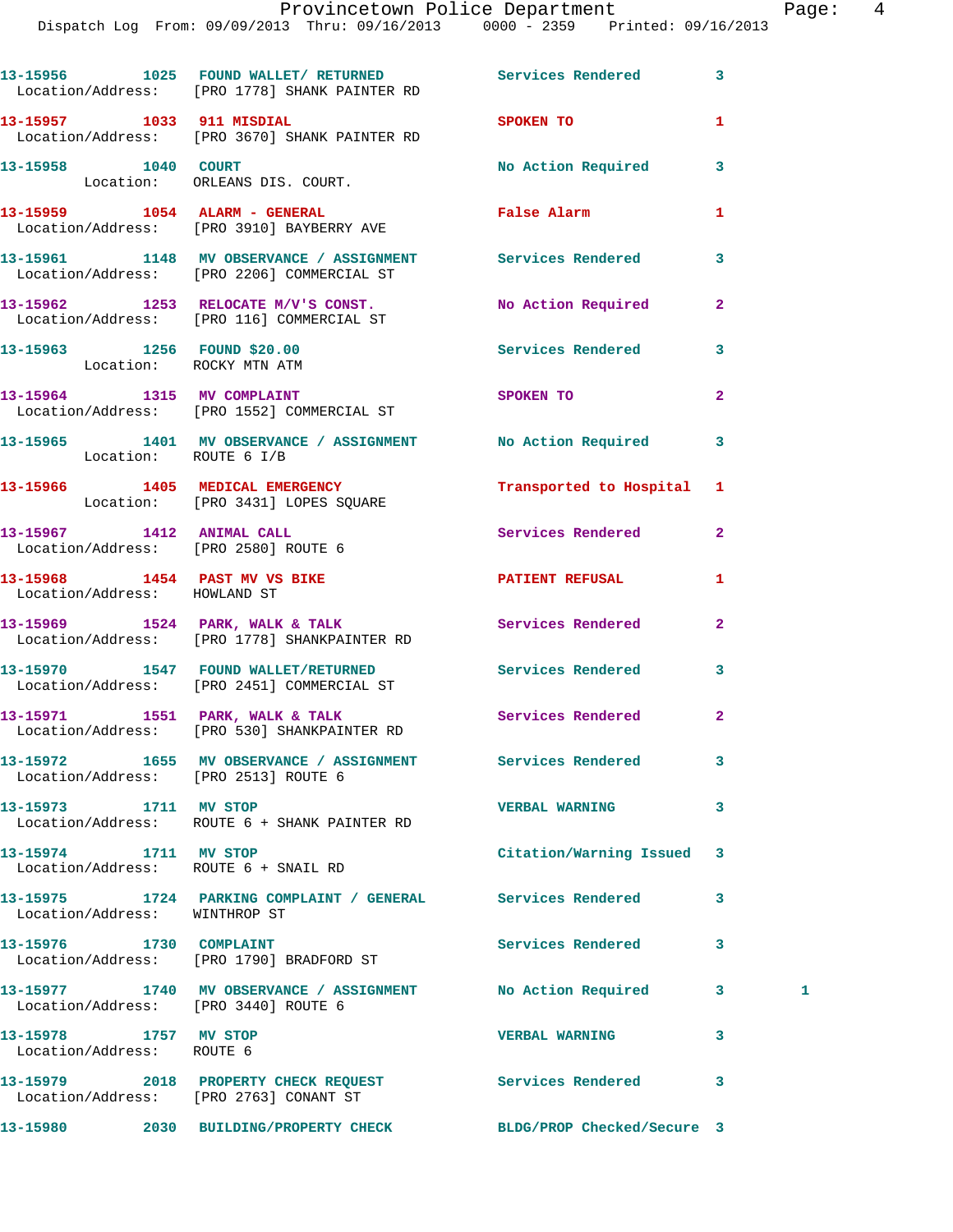|                                                               | 13-15956 1025 FOUND WALLET/RETURNED Services Rendered<br>Location/Address: [PRO 1778] SHANK PAINTER RD   |                          | 3              |
|---------------------------------------------------------------|----------------------------------------------------------------------------------------------------------|--------------------------|----------------|
|                                                               | 13-15957 1033 911 MISDIAL<br>Location/Address: [PRO 3670] SHANK PAINTER RD                               | SPOKEN TO                | 1              |
| 13-15958 1040 COURT                                           | Location: ORLEANS DIS. COURT.                                                                            | No Action Required       | 3              |
|                                                               | 13-15959 1054 ALARM - GENERAL<br>Location/Address: [PRO 3910] BAYBERRY AVE                               | <b>False Alarm</b>       | 1              |
|                                                               | 13-15961 1148 MV OBSERVANCE / ASSIGNMENT Services Rendered<br>Location/Address: [PRO 2206] COMMERCIAL ST |                          | 3              |
|                                                               | 13-15962 1253 RELOCATE M/V'S CONST. No Action Required<br>Location/Address: [PRO 116] COMMERCIAL ST      |                          | $\overline{2}$ |
|                                                               | 13-15963 1256 FOUND \$20.00<br>Location: ROCKY MTN ATM                                                   | Services Rendered        | 3              |
|                                                               | 13-15964 1315 MV COMPLAINT<br>Location/Address: [PRO 1552] COMMERCIAL ST                                 | SPOKEN TO                | $\overline{a}$ |
| Location: ROUTE 6 I/B                                         | 13-15965 1401 MV OBSERVANCE / ASSIGNMENT No Action Required                                              |                          | 3              |
|                                                               | 13-15966 1405 MEDICAL EMERGENCY Transported to Hospital 1<br>Location: [PRO 3431] LOPES SQUARE           |                          |                |
|                                                               | 13-15967 1412 ANIMAL CALL<br>Location/Address: [PRO 2580] ROUTE 6                                        | <b>Services Rendered</b> | $\overline{2}$ |
| 13-15968 1454 PAST MV VS BIKE<br>Location/Address: HOWLAND ST |                                                                                                          | PATIENT REFUSAL          | 1              |
|                                                               | 13-15969 1524 PARK, WALK & TALK 1988 Services Rendered<br>Location/Address: [PRO 1778] SHANKPAINTER RD   |                          | $\overline{2}$ |
|                                                               | 13-15970 1547 FOUND WALLET/RETURNED Services Rendered<br>Location/Address: [PRO 2451] COMMERCIAL ST      |                          | 3              |
|                                                               | 13-15971 1551 PARK, WALK & TALK<br>Location/Address: [PRO 530] SHANKPAINTER RD                           | <b>Services Rendered</b> | $\mathbf{2}$   |
| Location/Address: [PRO 2513] ROUTE 6                          | 13-15972 1655 MV OBSERVANCE / ASSIGNMENT Services Rendered                                               |                          | 3              |
| 13-15973 1711 MV STOP                                         | Location/Address: ROUTE 6 + SHANK PAINTER RD                                                             | <b>VERBAL WARNING</b>    | 3              |
| 13-15974 1711 MV STOP<br>Location/Address: ROUTE 6 + SNAIL RD |                                                                                                          | Citation/Warning Issued  | 3              |
| Location/Address: WINTHROP ST                                 | 13-15975 1724 PARKING COMPLAINT / GENERAL Services Rendered                                              |                          | 3              |
|                                                               | 13-15976 1730 COMPLAINT<br>Location/Address: [PRO 1790] BRADFORD ST                                      | <b>Services Rendered</b> | 3              |
| Location/Address: [PRO 3440] ROUTE 6                          | 13-15977 1740 MV OBSERVANCE / ASSIGNMENT No Action Required                                              |                          | 3<br>1         |
| 13-15978 1757 MV STOP<br>Location/Address: ROUTE 6            |                                                                                                          | <b>VERBAL WARNING</b>    | 3              |
|                                                               | 13-15979 2018 PROPERTY CHECK REQUEST Services Rendered<br>Location/Address: [PRO 2763] CONANT ST         |                          | 3              |
|                                                               | 13-15980 2030 BUILDING/PROPERTY CHECK BLDG/PROP Checked/Secure 3                                         |                          |                |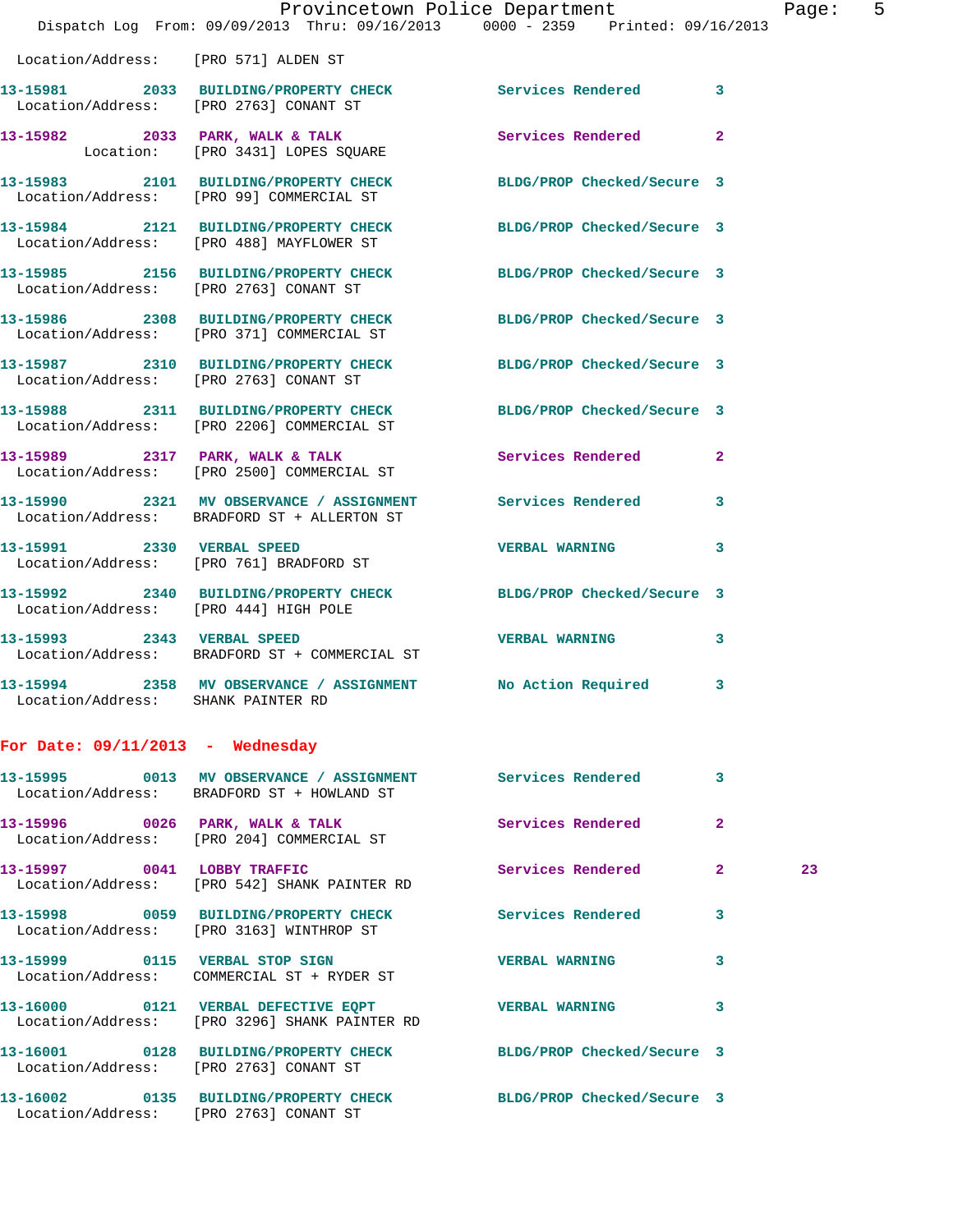|                                       |                                                                                                                        | Provincetown Police Department |              | Page: 5 |  |
|---------------------------------------|------------------------------------------------------------------------------------------------------------------------|--------------------------------|--------------|---------|--|
|                                       | Dispatch Log From: 09/09/2013 Thru: 09/16/2013 0000 - 2359 Printed: 09/16/2013<br>Location/Address: [PRO 571] ALDEN ST |                                |              |         |  |
|                                       |                                                                                                                        |                                |              |         |  |
|                                       | 13-15981 2033 BUILDING/PROPERTY CHECK Services Rendered 3<br>Location/Address: [PRO 2763] CONANT ST                    |                                |              |         |  |
|                                       | 13-15982 2033 PARK, WALK & TALK 2 Services Rendered 2<br>Location: [PRO 3431] LOPES SQUARE                             |                                |              |         |  |
|                                       | 13-15983 2101 BUILDING/PROPERTY CHECK BLDG/PROP Checked/Secure 3<br>Location/Address: [PRO 99] COMMERCIAL ST           |                                |              |         |  |
|                                       | 13-15984 2121 BUILDING/PROPERTY CHECK BLDG/PROP Checked/Secure 3<br>Location/Address: [PRO 488] MAYFLOWER ST           |                                |              |         |  |
|                                       | 13-15985 2156 BUILDING/PROPERTY CHECK BLDG/PROP Checked/Secure 3<br>Location/Address: [PRO 2763] CONANT ST             |                                |              |         |  |
|                                       | 13-15986 2308 BUILDING/PROPERTY CHECK BLDG/PROP Checked/Secure 3<br>Location/Address: [PRO 371] COMMERCIAL ST          |                                |              |         |  |
|                                       | 13-15987 2310 BUILDING/PROPERTY CHECK BLDG/PROP Checked/Secure 3<br>Location/Address: [PRO 2763] CONANT ST             |                                |              |         |  |
|                                       | 13-15988 2311 BUILDING/PROPERTY CHECK BLDG/PROP Checked/Secure 3<br>Location/Address: [PRO 2206] COMMERCIAL ST         |                                |              |         |  |
|                                       | 13-15989 2317 PARK, WALK & TALK (Services Rendered 2)<br>Location/Address: [PRO 2500] COMMERCIAL ST                    |                                |              |         |  |
|                                       | 13-15990 2321 MV OBSERVANCE / ASSIGNMENT Services Rendered 3<br>Location/Address: BRADFORD ST + ALLERTON ST            |                                |              |         |  |
|                                       | 13-15991 2330 VERBAL SPEED<br>Location/Address: [PRO 761] BRADFORD ST                                                  | <b>VERBAL WARNING</b>          | $\mathbf{3}$ |         |  |
| Location/Address: [PRO 444] HIGH POLE | 13-15992 2340 BUILDING/PROPERTY CHECK BLDG/PROP Checked/Secure 3                                                       |                                |              |         |  |
|                                       | 13-15993 2343 VERBAL SPEED<br>Location/Address: BRADFORD ST + COMMERCIAL ST                                            | <b>VERBAL WARNING</b>          | $\mathbf{3}$ |         |  |
| Location/Address: SHANK PAINTER RD    | 13-15994 2358 MV OBSERVANCE / ASSIGNMENT                                                                               | No Action Required             | 3            |         |  |
| For Date: $09/11/2013$ - Wednesday    |                                                                                                                        |                                |              |         |  |
|                                       | 13-15995 0013 MV OBSERVANCE / ASSIGNMENT<br>Location/Address: BRADFORD ST + HOWLAND ST                                 | <b>Services Rendered</b>       | 3            |         |  |
|                                       | 13-15996 0026 PARK, WALK & TALK<br>Location/Address: [PRO 204] COMMERCIAL ST                                           | Services Rendered              | $\mathbf{2}$ |         |  |
| 13-15997 0041 LOBBY TRAFFIC           | Location/Address: [PRO 542] SHANK PAINTER RD                                                                           | <b>Services Rendered</b>       | $\mathbf{2}$ | 23      |  |
| 13-15998                              | 0059 BUILDING/PROPERTY CHECK<br>Location/Address: [PRO 3163] WINTHROP ST                                               | Services Rendered              | 3            |         |  |

Location/Address: COMMERCIAL ST + RYDER ST

**13-16000 0121 VERBAL DEFECTIVE EQPT VERBAL WARNING 3**  Location/Address: [PRO 3296] SHANK PAINTER RD

**13-16001 0128 BUILDING/PROPERTY CHECK BLDG/PROP Checked/Secure 3** 

Location/Address: [PRO 2763] CONANT ST

**13-16002 0135 BUILDING/PROPERTY CHECK BLDG/PROP Checked/Secure 3**  Location/Address: [PRO 2763] CONANT ST

**13-15999 0115 VERBAL STOP SIGN VERBAL WARNING 3**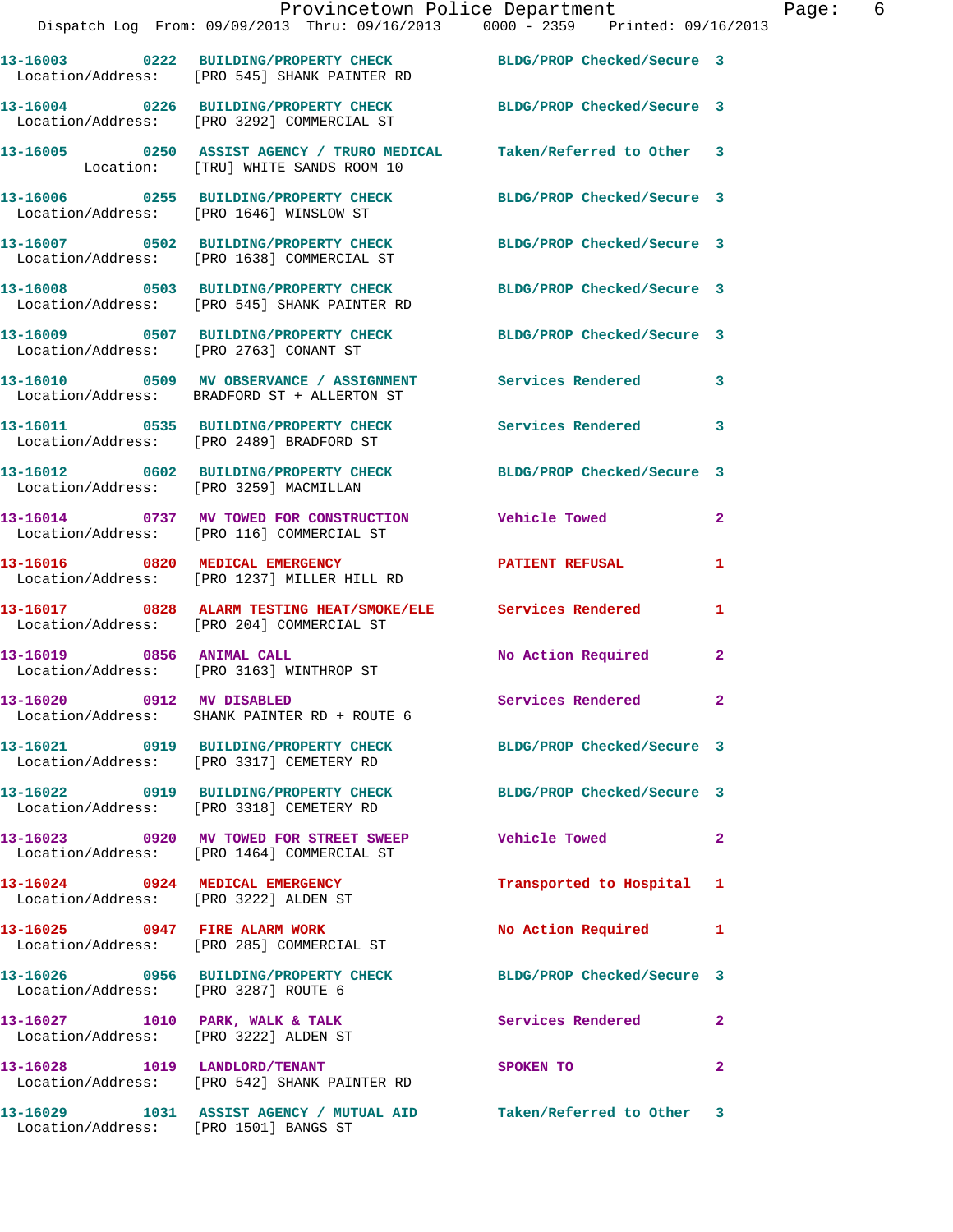|                                        | Provincetown Police Department                                                                                   |                            |                         |
|----------------------------------------|------------------------------------------------------------------------------------------------------------------|----------------------------|-------------------------|
|                                        | Dispatch Log From: 09/09/2013 Thru: 09/16/2013 0000 - 2359 Printed: 09/16/2013                                   |                            |                         |
|                                        | 13-16003 0222 BUILDING/PROPERTY CHECK BLDG/PROP Checked/Secure 3<br>Location/Address: [PRO 545] SHANK PAINTER RD |                            |                         |
|                                        | 13-16004 0226 BUILDING/PROPERTY CHECK BLDG/PROP Checked/Secure 3<br>Location/Address: [PRO 3292] COMMERCIAL ST   |                            |                         |
|                                        | 13-16005 0250 ASSIST AGENCY / TRURO MEDICAL Taken/Referred to Other<br>Location: [TRU] WHITE SANDS ROOM 10       |                            | 3                       |
|                                        | 13-16006 0255 BUILDING/PROPERTY CHECK BLDG/PROP Checked/Secure 3<br>Location/Address: [PRO 1646] WINSLOW ST      |                            |                         |
|                                        | 13-16007 0502 BUILDING/PROPERTY CHECK<br>Location/Address: [PRO 1638] COMMERCIAL ST                              | BLDG/PROP Checked/Secure 3 |                         |
|                                        | 13-16008 0503 BUILDING/PROPERTY CHECK BLDG/PROP Checked/Secure 3<br>Location/Address: [PRO 545] SHANK PAINTER RD |                            |                         |
|                                        | 13-16009 0507 BUILDING/PROPERTY CHECK<br>Location/Address: [PRO 2763] CONANT ST                                  | BLDG/PROP Checked/Secure 3 |                         |
|                                        | 13-16010 0509 MV OBSERVANCE / ASSIGNMENT Services Rendered<br>Location/Address: BRADFORD ST + ALLERTON ST        |                            | 3                       |
|                                        | 13-16011 0535 BUILDING/PROPERTY CHECK Services Rendered<br>Location/Address: [PRO 2489] BRADFORD ST              |                            | 3                       |
| Location/Address: [PRO 3259] MACMILLAN | 13-16012 0602 BUILDING/PROPERTY CHECK                                                                            | BLDG/PROP Checked/Secure 3 |                         |
|                                        | 13-16014 0737 MV TOWED FOR CONSTRUCTION<br>Location/Address: [PRO 116] COMMERCIAL ST                             | <b>Vehicle Towed</b>       | $\mathbf{2}$            |
|                                        | 13-16016 0820 MEDICAL EMERGENCY<br>Location/Address: [PRO 1237] MILLER HILL RD                                   | <b>PATIENT REFUSAL</b>     | 1                       |
|                                        | 13-16017 0828 ALARM TESTING HEAT/SMOKE/ELE Services Rendered<br>Location/Address: [PRO 204] COMMERCIAL ST        |                            | 1                       |
|                                        | 13-16019 0856 ANIMAL CALL<br>Location/Address: [PRO 3163] WINTHROP ST                                            | No Action Required         | $\overline{2}$          |
| 13-16020 0912 MV DISABLED              | Location/Address: SHANK PAINTER RD + ROUTE 6                                                                     | Services Rendered          |                         |
|                                        | 13-16021 0919 BUILDING/PROPERTY CHECK BLDG/PROP Checked/Secure 3<br>Location/Address: [PRO 3317] CEMETERY RD     |                            |                         |
|                                        | 13-16022 0919 BUILDING/PROPERTY CHECK<br>Location/Address: [PRO 3318] CEMETERY RD                                | BLDG/PROP Checked/Secure 3 |                         |
|                                        | 13-16023 0920 MV TOWED FOR STREET SWEEP<br>Location/Address: [PRO 1464] COMMERCIAL ST                            | <b>Vehicle Towed</b>       | $\mathbf{2}$            |
| 13-16024 0924 MEDICAL EMERGENCY        | Location/Address: [PRO 3222] ALDEN ST                                                                            | Transported to Hospital    | 1                       |
|                                        | 13-16025 0947 FIRE ALARM WORK<br>Location/Address: [PRO 285] COMMERCIAL ST                                       | No Action Required         | 1                       |
| Location/Address: [PRO 3287] ROUTE 6   | 13-16026 0956 BUILDING/PROPERTY CHECK BLDG/PROP Checked/Secure 3                                                 |                            |                         |
| Location/Address: [PRO 3222] ALDEN ST  | 13-16027 1010 PARK, WALK & TALK                                                                                  | Services Rendered          | $\mathbf{2}$            |
| 13-16028 1019 LANDLORD/TENANT          | Location/Address: [PRO 542] SHANK PAINTER RD                                                                     | SPOKEN TO                  | $\overline{\mathbf{2}}$ |
|                                        | 13-16029 1031 ASSIST AGENCY / MUTUAL AID Taken/Referred to Other 3                                               |                            |                         |

Location/Address: [PRO 1501] BANGS ST

Page: 6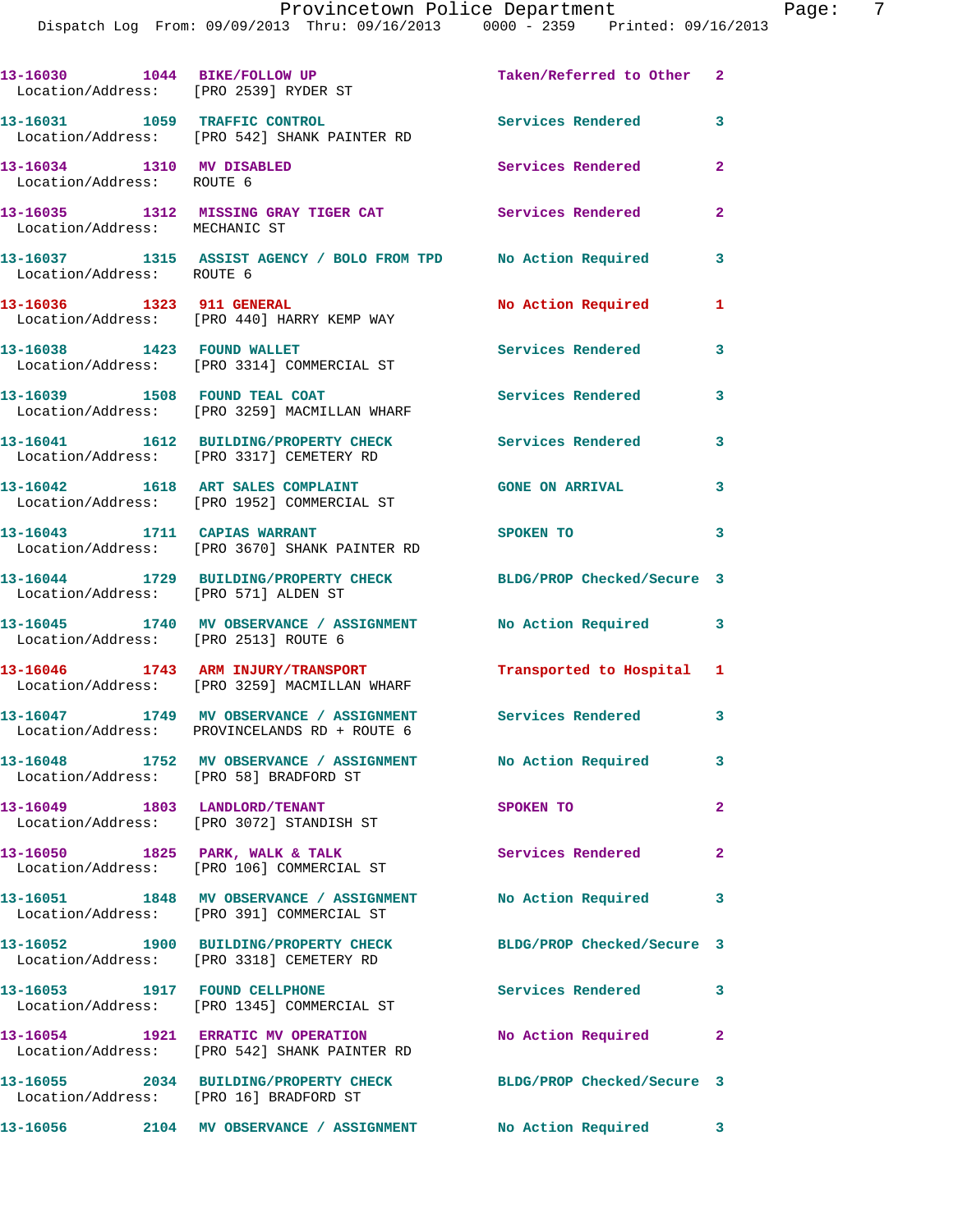| 13-16030 1044 BIKE/FOLLOW UP<br>Location/Address: [PRO 2539] RYDER ST |                                                                                                              | Taken/Referred to Other 2  |                |
|-----------------------------------------------------------------------|--------------------------------------------------------------------------------------------------------------|----------------------------|----------------|
|                                                                       | 13-16031 1059 TRAFFIC CONTROL<br>Location/Address: [PRO 542] SHANK PAINTER RD                                | Services Rendered          | 3              |
| 13-16034 1310 MV DISABLED<br>Location/Address: ROUTE 6                |                                                                                                              | Services Rendered          | $\overline{2}$ |
| Location/Address: MECHANIC ST                                         | 13-16035 1312 MISSING GRAY TIGER CAT Services Rendered                                                       |                            | $\overline{2}$ |
| Location/Address: ROUTE 6                                             | 13-16037 1315 ASSIST AGENCY / BOLO FROM TPD No Action Required                                               |                            | 3              |
| 13-16036 1323 911 GENERAL                                             | Location/Address: [PRO 440] HARRY KEMP WAY                                                                   | <b>No Action Required</b>  | $\mathbf{1}$   |
|                                                                       | 13-16038 1423 FOUND WALLET<br>Location/Address: [PRO 3314] COMMERCIAL ST                                     | Services Rendered          | 3              |
| 13-16039 1508 FOUND TEAL COAT                                         | Location/Address: [PRO 3259] MACMILLAN WHARF                                                                 | <b>Services Rendered</b>   | $\mathbf{3}$   |
|                                                                       | 13-16041 1612 BUILDING/PROPERTY CHECK<br>Location/Address: [PRO 3317] CEMETERY RD                            | <b>Services Rendered</b>   | 3              |
|                                                                       | 13-16042 1618 ART SALES COMPLAINT<br>Location/Address: [PRO 1952] COMMERCIAL ST                              | <b>GONE ON ARRIVAL</b>     | 3              |
|                                                                       | 13-16043 1711 CAPIAS WARRANT<br>Location/Address: [PRO 3670] SHANK PAINTER RD                                | SPOKEN TO                  | 3              |
| Location/Address: [PRO 571] ALDEN ST                                  | 13-16044 1729 BUILDING/PROPERTY CHECK                                                                        | BLDG/PROP Checked/Secure 3 |                |
| Location/Address: [PRO 2513] ROUTE 6                                  | 13-16045 1740 MV OBSERVANCE / ASSIGNMENT No Action Required 3                                                |                            |                |
|                                                                       | 13-16046 1743 ARM INJURY/TRANSPORT<br>Location/Address: [PRO 3259] MACMILLAN WHARF                           | Transported to Hospital 1  |                |
|                                                                       | 13-16047 1749 MV OBSERVANCE / ASSIGNMENT Services Rendered 3<br>Location/Address: PROVINCELANDS RD + ROUTE 6 |                            |                |
| Location/Address: [PRO 58] BRADFORD ST                                | 13-16048 1752 MV OBSERVANCE / ASSIGNMENT No Action Required                                                  |                            | 3              |
|                                                                       | 13-16049 1803 LANDLORD/TENANT<br>Location/Address: [PRO 3072] STANDISH ST                                    | SPOKEN TO                  | $\mathbf{2}$   |
|                                                                       | 13-16050 1825 PARK, WALK & TALK<br>Location/Address: [PRO 106] COMMERCIAL ST                                 | Services Rendered          | $\overline{2}$ |
|                                                                       | 13-16051 1848 MV OBSERVANCE / ASSIGNMENT<br>Location/Address: [PRO 391] COMMERCIAL ST                        | No Action Required         | 3              |
|                                                                       | 13-16052 1900 BUILDING/PROPERTY CHECK<br>Location/Address: [PRO 3318] CEMETERY RD                            | BLDG/PROP Checked/Secure 3 |                |
|                                                                       | 13-16053 1917 FOUND CELLPHONE<br>Location/Address: [PRO 1345] COMMERCIAL ST                                  | Services Rendered          | 3              |
|                                                                       | 13-16054 1921 ERRATIC MV OPERATION<br>Location/Address: [PRO 542] SHANK PAINTER RD                           | No Action Required         | $\mathbf{2}$   |
| Location/Address: [PRO 16] BRADFORD ST                                | 13-16055 2034 BUILDING/PROPERTY CHECK                                                                        | BLDG/PROP Checked/Secure 3 |                |
|                                                                       | 13-16056 2104 MV OBSERVANCE / ASSIGNMENT                                                                     | <b>No Action Required</b>  | 3              |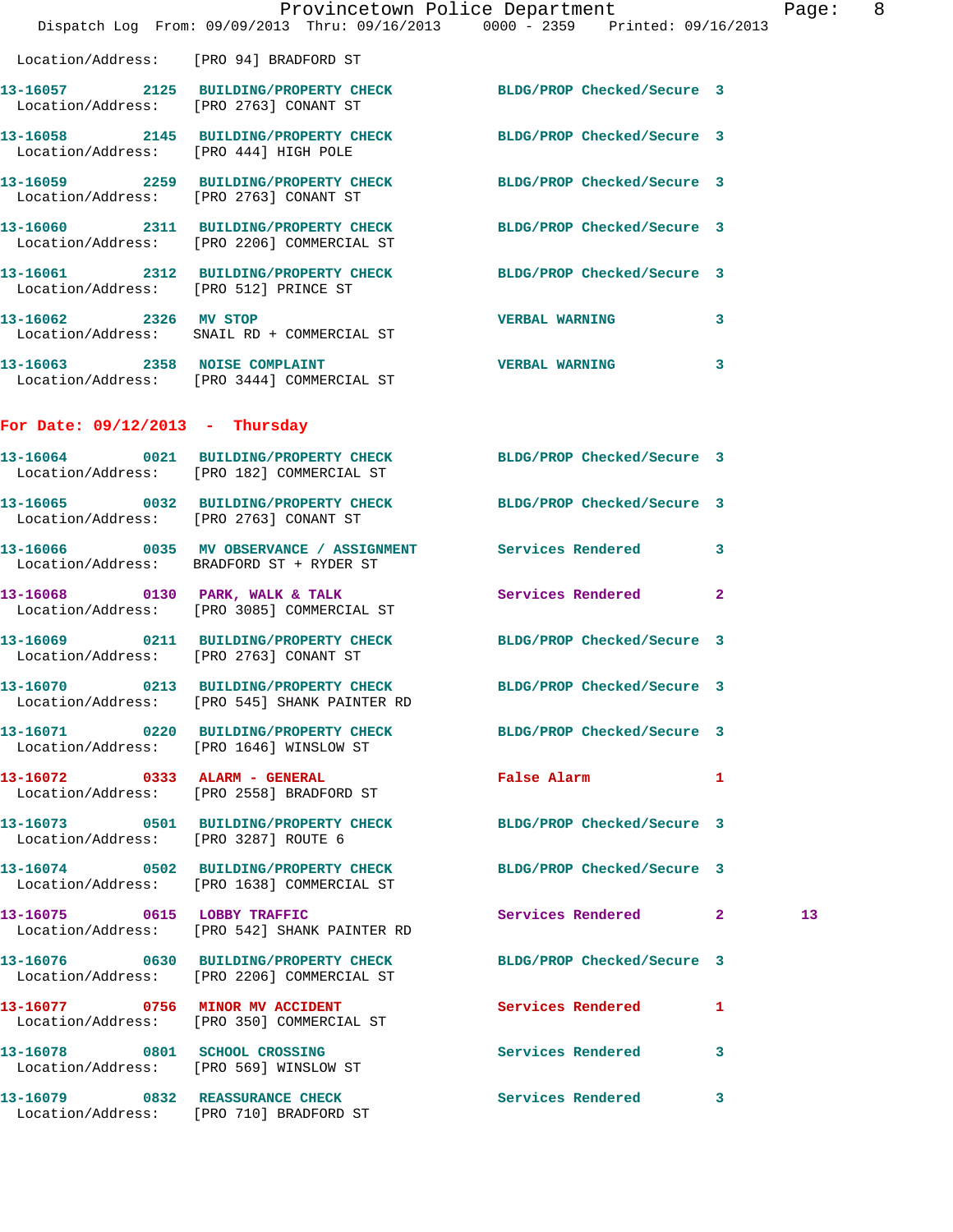|                                        | Dispatch Log From: 09/09/2013 Thru: 09/16/2013 0000 - 2359 Printed: 09/16/2013                                 | Provincetown Police Department |                         | Page: 8         |  |
|----------------------------------------|----------------------------------------------------------------------------------------------------------------|--------------------------------|-------------------------|-----------------|--|
| Location/Address: [PRO 94] BRADFORD ST |                                                                                                                |                                |                         |                 |  |
|                                        | 13-16057 2125 BUILDING/PROPERTY CHECK BLDG/PROP Checked/Secure 3<br>Location/Address: [PRO 2763] CONANT ST     |                                |                         |                 |  |
|                                        | 13-16058 2145 BUILDING/PROPERTY CHECK BLDG/PROP Checked/Secure 3<br>Location/Address: [PRO 444] HIGH POLE      |                                |                         |                 |  |
|                                        | 13-16059 2259 BUILDING/PROPERTY CHECK BLDG/PROP Checked/Secure 3<br>Location/Address: [PRO 2763] CONANT ST     |                                |                         |                 |  |
|                                        | 13-16060 2311 BUILDING/PROPERTY CHECK BLDG/PROP Checked/Secure 3<br>Location/Address: [PRO 2206] COMMERCIAL ST |                                |                         |                 |  |
|                                        | 13-16061 2312 BUILDING/PROPERTY CHECK BLDG/PROP Checked/Secure 3<br>Location/Address: [PRO 512] PRINCE ST      |                                |                         |                 |  |
| 13-16062 2326 MV STOP                  | Location/Address: SNAIL RD + COMMERCIAL ST                                                                     | VERBAL WARNING 3               |                         |                 |  |
|                                        | 13-16063 2358 NOISE COMPLAINT<br>Location/Address: [PRO 3444] COMMERCIAL ST                                    | <b>VERBAL WARNING</b>          | $\overline{\mathbf{3}}$ |                 |  |
| For Date: $09/12/2013$ - Thursday      |                                                                                                                |                                |                         |                 |  |
|                                        | 13-16064 0021 BUILDING/PROPERTY CHECK BLDG/PROP Checked/Secure 3<br>Location/Address: [PRO 182] COMMERCIAL ST  |                                |                         |                 |  |
|                                        | 13-16065 0032 BUILDING/PROPERTY CHECK BLDG/PROP Checked/Secure 3<br>Location/Address: [PRO 2763] CONANT ST     |                                |                         |                 |  |
|                                        | 13-16066 0035 MV OBSERVANCE / ASSIGNMENT Services Rendered 3<br>Location/Address: BRADFORD ST + RYDER ST       |                                |                         |                 |  |
|                                        | 13-16068 0130 PARK, WALK & TALK Services Rendered 2<br>Location/Address: [PRO 3085] COMMERCIAL ST              |                                |                         |                 |  |
| Location/Address: [PRO 2763] CONANT ST | 13-16069 0211 BUILDING/PROPERTY CHECK BLDG/PROP Checked/Secure 3                                               |                                |                         |                 |  |
|                                        | 13-16070 0213 BUILDING/PROPERTY CHECK<br>Location/Address: [PRO 545] SHANK PAINTER RD                          | BLDG/PROP Checked/Secure 3     |                         |                 |  |
|                                        | 13-16071 0220 BUILDING/PROPERTY CHECK BLDG/PROP Checked/Secure 3<br>Location/Address: [PRO 1646] WINSLOW ST    |                                |                         |                 |  |
|                                        | 13-16072 0333 ALARM - GENERAL<br>Location/Address: [PRO 2558] BRADFORD ST                                      | False Alarm 1                  |                         |                 |  |
| Location/Address: [PRO 3287] ROUTE 6   | 13-16073 0501 BUILDING/PROPERTY CHECK BLDG/PROP Checked/Secure 3                                               |                                |                         |                 |  |
|                                        | 13-16074 0502 BUILDING/PROPERTY CHECK BLDG/PROP Checked/Secure 3<br>Location/Address: [PRO 1638] COMMERCIAL ST |                                |                         |                 |  |
|                                        | 13-16075 0615 LOBBY TRAFFIC<br>Location/Address: [PRO 542] SHANK PAINTER RD                                    | Services Rendered 2            |                         | 13 <sub>1</sub> |  |
|                                        | 13-16076 0630 BUILDING/PROPERTY CHECK BLDG/PROP Checked/Secure 3<br>Location/Address: [PRO 2206] COMMERCIAL ST |                                |                         |                 |  |
|                                        | 13-16077 0756 MINOR MV ACCIDENT<br>Location/Address: [PRO 350] COMMERCIAL ST                                   | Services Rendered              | 1                       |                 |  |
|                                        | 13-16078 0801 SCHOOL CROSSING<br>Location/Address: [PRO 569] WINSLOW ST                                        | Services Rendered 3            |                         |                 |  |
|                                        | 13-16079 0832 REASSURANCE CHECK                                                                                | <b>Services Rendered</b>       | 3                       |                 |  |

Location/Address: [PRO 710] BRADFORD ST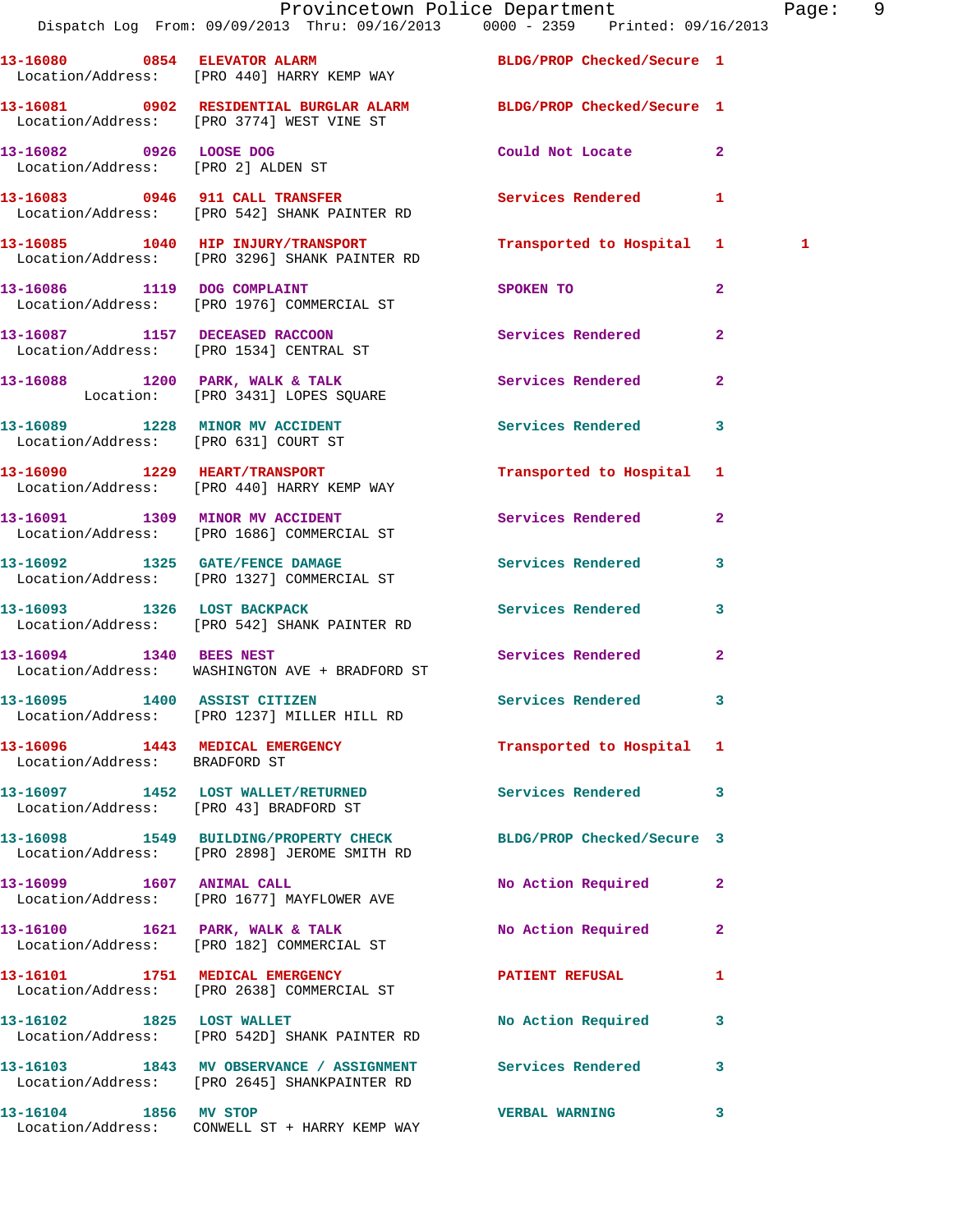|                                    | Provincetown Police Department The Page: 9<br>Dispatch Log From: 09/09/2013 Thru: 09/16/2013 0000 - 2359 Printed: 09/16/2013 |                           |                |              |  |
|------------------------------------|------------------------------------------------------------------------------------------------------------------------------|---------------------------|----------------|--------------|--|
|                                    | 13-16080 0854 ELEVATOR ALARM BLDG/PROP Checked/Secure 1<br>Location/Address: [PRO 440] HARRY KEMP WAY                        |                           |                |              |  |
|                                    | 13-16081 0902 RESIDENTIAL BURGLAR ALARM BLDG/PROP Checked/Secure 1<br>Location/Address: [PRO 3774] WEST VINE ST              |                           |                |              |  |
| Location/Address: [PRO 2] ALDEN ST | 13-16082 0926 LOOSE DOG                                                                                                      | Could Not Locate          | $\mathbf{2}$   |              |  |
|                                    | 13-16083 0946 911 CALL TRANSFER<br>Location/Address: [PRO 542] SHANK PAINTER RD                                              | Services Rendered 1       |                |              |  |
|                                    | 13-16085 1040 HIP INJURY/TRANSPORT<br>Location/Address: [PRO 3296] SHANK PAINTER RD                                          | Transported to Hospital 1 |                | $\mathbf{1}$ |  |
|                                    | 13-16086 1119 DOG COMPLAINT<br>Location/Address: [PRO 1976] COMMERCIAL ST                                                    | SPOKEN TO                 | $\overline{a}$ |              |  |
|                                    | 13-16087 1157 DECEASED RACCOON<br>Location/Address: [PRO 1534] CENTRAL ST                                                    | Services Rendered         | $\mathbf{2}$   |              |  |
|                                    | 13-16088 1200 PARK, WALK & TALK<br>Location: [PRO 3431] LOPES SQUARE                                                         | Services Rendered         | $\mathbf{2}$   |              |  |
|                                    | 13-16089 1228 MINOR MV ACCIDENT Services Rendered 3<br>Location/Address: [PRO 631] COURT ST                                  |                           |                |              |  |
|                                    | 13-16090 1229 HEART/TRANSPORT<br>Location/Address: [PRO 440] HARRY KEMP WAY                                                  | Transported to Hospital 1 |                |              |  |
|                                    | 13-16091 1309 MINOR MV ACCIDENT<br>Location/Address: [PRO 1686] COMMERCIAL ST                                                | Services Rendered         | $\mathbf{2}$   |              |  |
|                                    | 13-16092 1325 GATE/FENCE DAMAGE<br>Location/Address: [PRO 1327] COMMERCIAL ST                                                | Services Rendered         | 3              |              |  |
|                                    | 13-16093 1326 LOST BACKPACK<br>Location/Address: [PRO 542] SHANK PAINTER RD                                                  | <b>Services Rendered</b>  | $\mathbf{3}$   |              |  |
|                                    | 13-16094 1340 BEES NEST<br>Location/Address: WASHINGTON AVE + BRADFORD ST                                                    | Services Rendered         | $\mathbf{2}$   |              |  |
|                                    | 13-16095 1400 ASSIST CITIZEN<br>Location/Address: [PRO 1237] MILLER HILL RD                                                  | <b>Services Rendered</b>  |                |              |  |
| Location/Address: BRADFORD ST      | 13-16096 1443 MEDICAL EMERGENCY                                                                                              | Transported to Hospital 1 |                |              |  |
|                                    | 13-16097 1452 LOST WALLET/RETURNED<br>Location/Address: [PRO 43] BRADFORD ST                                                 | Services Rendered         | 3              |              |  |
|                                    | 13-16098 1549 BUILDING/PROPERTY CHECK BLDG/PROP Checked/Secure 3<br>Location/Address: [PRO 2898] JEROME SMITH RD             |                           |                |              |  |
|                                    | 13-16099 1607 ANIMAL CALL<br>Location/Address: [PRO 1677] MAYFLOWER AVE                                                      | No Action Required        | $\mathbf{2}$   |              |  |
|                                    | 13-16100 1621 PARK, WALK & TALK<br>Location/Address: [PRO 182] COMMERCIAL ST                                                 | No Action Required        | $\mathbf{2}$   |              |  |
|                                    | 13-16101 1751 MEDICAL EMERGENCY<br>Location/Address: [PRO 2638] COMMERCIAL ST                                                | PATIENT REFUSAL           | 1              |              |  |
|                                    | 13-16102 1825 LOST WALLET<br>Location/Address: [PRO 542D] SHANK PAINTER RD                                                   | No Action Required        | 3              |              |  |
|                                    | 13-16103 1843 MV OBSERVANCE / ASSIGNMENT Services Rendered<br>Location/Address: [PRO 2645] SHANKPAINTER RD                   |                           | 3              |              |  |
| 13-16104 1856 MV STOP              |                                                                                                                              | <b>VERBAL WARNING</b>     | 3              |              |  |

Location/Address: CONWELL ST + HARRY KEMP WAY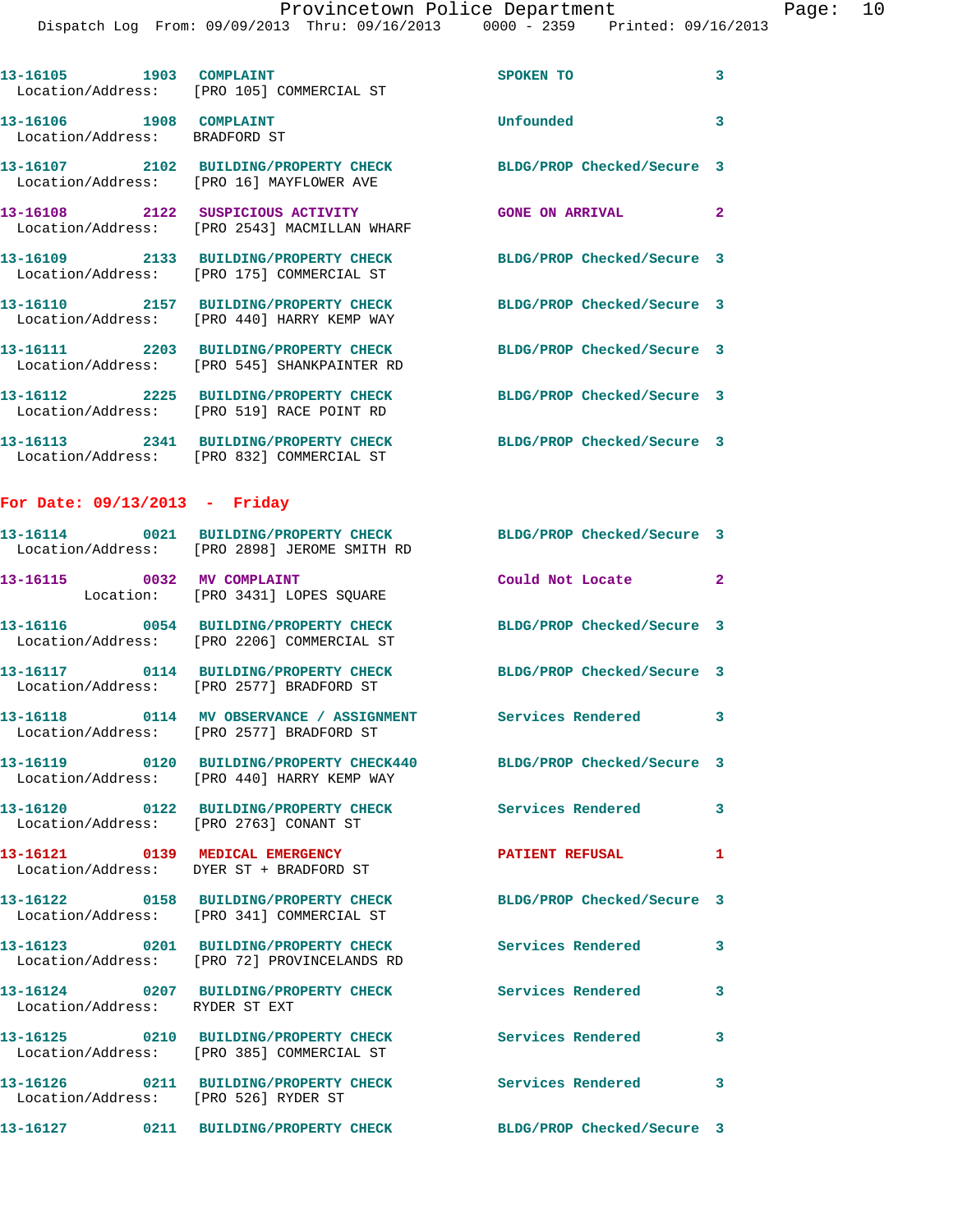|                                                          | Dispatch Log From: 09/09/2013 Thru: 09/16/2013 0000 - 2359 Printed: 09/16/2013                                    |                            |                |
|----------------------------------------------------------|-------------------------------------------------------------------------------------------------------------------|----------------------------|----------------|
|                                                          | 13-16105 1903 COMPLAINT<br>Location/Address: [PRO 105] COMMERCIAL ST                                              | SPOKEN TO                  | 3              |
| 13-16106 1908 COMPLAINT<br>Location/Address: BRADFORD ST |                                                                                                                   | Unfounded                  | 3              |
|                                                          | 13-16107 2102 BUILDING/PROPERTY CHECK<br>Location/Address: [PRO 16] MAYFLOWER AVE                                 | BLDG/PROP Checked/Secure 3 |                |
|                                                          | 13-16108 2122 SUSPICIOUS ACTIVITY<br>Location/Address: [PRO 2543] MACMILLAN WHARF                                 | <b>GONE ON ARRIVAL</b>     | $\overline{2}$ |
|                                                          | 13-16109 2133 BUILDING/PROPERTY CHECK<br>Location/Address: [PRO 175] COMMERCIAL ST                                | BLDG/PROP Checked/Secure 3 |                |
|                                                          | 13-16110 2157 BUILDING/PROPERTY CHECK<br>Location/Address: [PRO 440] HARRY KEMP WAY                               | BLDG/PROP Checked/Secure 3 |                |
|                                                          | 13-16111 2203 BUILDING/PROPERTY CHECK<br>Location/Address: [PRO 545] SHANKPAINTER RD                              | BLDG/PROP Checked/Secure 3 |                |
|                                                          | 13-16112 2225 BUILDING/PROPERTY CHECK BLDG/PROP Checked/Secure 3<br>Location/Address: [PRO 519] RACE POINT RD     |                            |                |
|                                                          | 13-16113 2341 BUILDING/PROPERTY CHECK BLDG/PROP Checked/Secure 3<br>Location/Address: [PRO 832] COMMERCIAL ST     |                            |                |
| For Date: $09/13/2013$ - Friday                          |                                                                                                                   |                            |                |
|                                                          | 13-16114 0021 BUILDING/PROPERTY CHECK BLDG/PROP Checked/Secure 3<br>Location/Address: [PRO 2898] JEROME SMITH RD  |                            |                |
|                                                          | 13-16115 0032 MV COMPLAINT<br>Location: [PRO 3431] LOPES SQUARE                                                   | Could Not Locate           | $\mathbf{2}$   |
|                                                          | 13-16116 0054 BUILDING/PROPERTY CHECK<br>Location/Address: [PRO 2206] COMMERCIAL ST                               | BLDG/PROP Checked/Secure 3 |                |
|                                                          | 13-16117 0114 BUILDING/PROPERTY CHECK<br>Location/Address: [PRO 2577] BRADFORD ST                                 | BLDG/PROP Checked/Secure 3 |                |
|                                                          | 13-16118 0114 MV OBSERVANCE / ASSIGNMENT<br>Location/Address: [PRO 2577] BRADFORD ST                              | <b>Services Rendered</b>   |                |
|                                                          | 13-16119 0120 BUILDING/PROPERTY CHECK440 BLDG/PROP Checked/Secure 3<br>Location/Address: [PRO 440] HARRY KEMP WAY |                            |                |
|                                                          | 13-16120 0122 BUILDING/PROPERTY CHECK<br>Location/Address: [PRO 2763] CONANT ST                                   | <b>Services Rendered</b>   | 3              |
|                                                          | 13-16121 0139 MEDICAL EMERGENCY<br>Location/Address: DYER ST + BRADFORD ST                                        | <b>PATIENT REFUSAL</b>     | 1              |
|                                                          | 13-16122 0158 BUILDING/PROPERTY CHECK BLDG/PROP Checked/Secure 3<br>Location/Address: [PRO 341] COMMERCIAL ST     |                            |                |
|                                                          | 13-16123 0201 BUILDING/PROPERTY CHECK Services Rendered<br>Location/Address: [PRO 72] PROVINCELANDS RD            |                            | 3              |
| Location/Address: RYDER ST EXT                           | 13-16124 0207 BUILDING/PROPERTY CHECK Services Rendered                                                           |                            | 3              |
|                                                          | 13-16125   0210   BUILDING/PROPERTY CHECK   Services Rendered   Location/Address: [PRO 385] COMMERCIAL ST         |                            | 3              |
|                                                          | 13-16126 0211 BUILDING/PROPERTY CHECK Services Rendered<br>Location/Address: [PRO 526] RYDER ST                   |                            | 3              |
|                                                          | 13-16127 0211 BUILDING/PROPERTY CHECK                                                                             | BLDG/PROP Checked/Secure 3 |                |
|                                                          |                                                                                                                   |                            |                |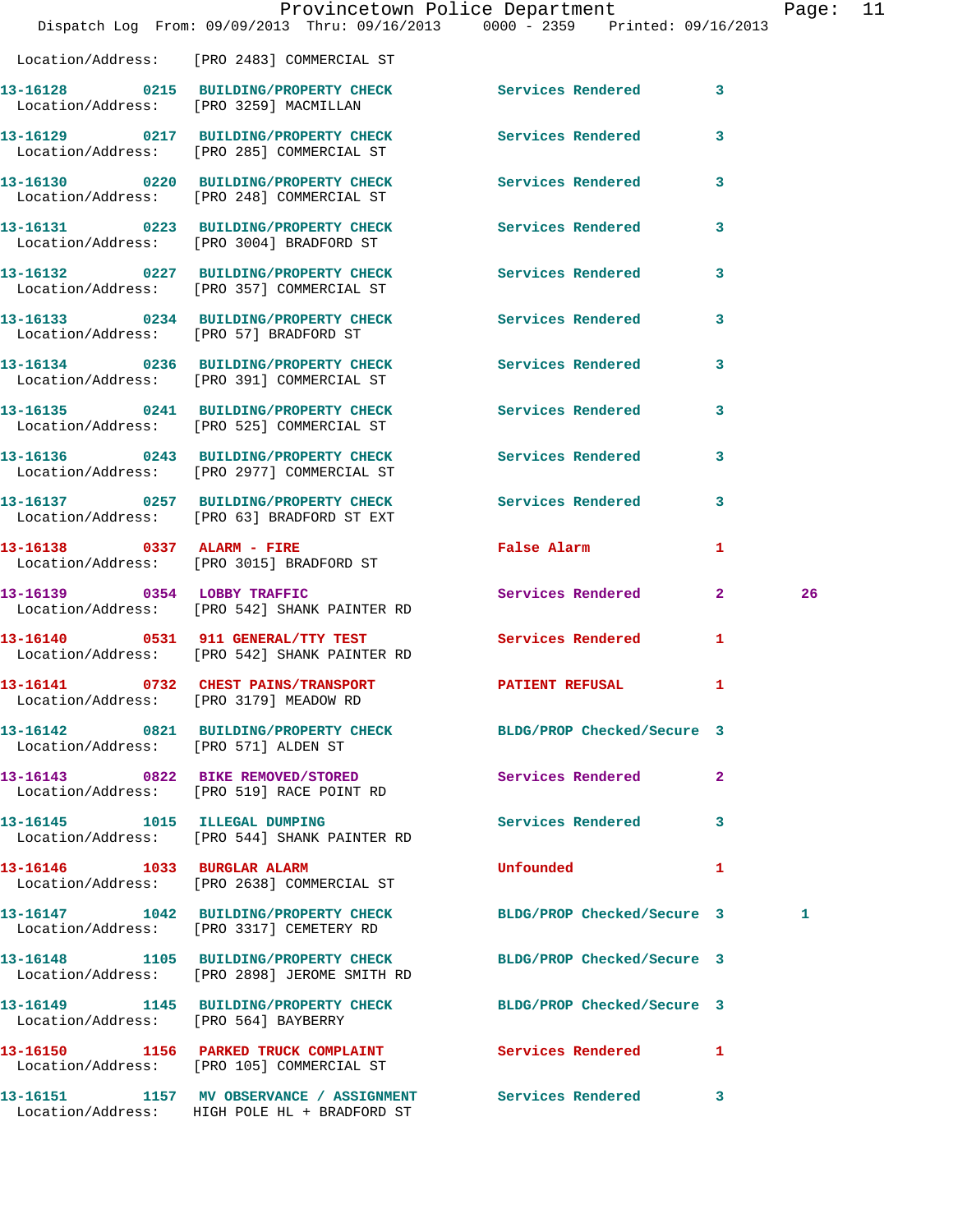|                                      |                                                                                                                  | Provincetown Police Department                                                                                 |                | Page: 11 |  |
|--------------------------------------|------------------------------------------------------------------------------------------------------------------|----------------------------------------------------------------------------------------------------------------|----------------|----------|--|
|                                      | Dispatch Log From: 09/09/2013 Thru: 09/16/2013 0000 - 2359 Printed: 09/16/2013                                   |                                                                                                                |                |          |  |
|                                      | Location/Address: [PRO 2483] COMMERCIAL ST<br>13-16128 0215 BUILDING/PROPERTY CHECK Services Rendered 3          |                                                                                                                |                |          |  |
|                                      | Location/Address: [PRO 3259] MACMILLAN                                                                           |                                                                                                                |                |          |  |
|                                      | 13-16129 0217 BUILDING/PROPERTY CHECK Services Rendered 3<br>Location/Address: [PRO 285] COMMERCIAL ST           |                                                                                                                |                |          |  |
|                                      | 13-16130 0220 BUILDING/PROPERTY CHECK Services Rendered 3<br>Location/Address: [PRO 248] COMMERCIAL ST           |                                                                                                                |                |          |  |
|                                      | 13-16131 0223 BUILDING/PROPERTY CHECK Services Rendered<br>Location/Address: [PRO 3004] BRADFORD ST              |                                                                                                                | $\mathbf{3}$   |          |  |
|                                      | 13-16132 0227 BUILDING/PROPERTY CHECK Services Rendered<br>Location/Address: [PRO 357] COMMERCIAL ST             |                                                                                                                | $\mathbf{3}$   |          |  |
|                                      | 13-16133 0234 BUILDING/PROPERTY CHECK Services Rendered 3<br>Location/Address: [PRO 57] BRADFORD ST              |                                                                                                                |                |          |  |
|                                      | 13-16134 0236 BUILDING/PROPERTY CHECK Services Rendered 3<br>Location/Address: [PRO 391] COMMERCIAL ST           |                                                                                                                |                |          |  |
|                                      | 13-16135 0241 BUILDING/PROPERTY CHECK Services Rendered 3<br>Location/Address: [PRO 525] COMMERCIAL ST           |                                                                                                                |                |          |  |
|                                      | 13-16136 0243 BUILDING/PROPERTY CHECK<br>Location/Address: [PRO 2977] COMMERCIAL ST                              | <b>Services Rendered</b>                                                                                       | 3              |          |  |
|                                      | 13-16137 0257 BUILDING/PROPERTY CHECK Services Rendered 3<br>Location/Address: [PRO 63] BRADFORD ST EXT          |                                                                                                                |                |          |  |
|                                      | 13-16138 0337 ALARM - FIRE<br>Location/Address: [PRO 3015] BRADFORD ST                                           | False Alarm and the state of the state of the state of the state of the state of the state of the state of the | 1              |          |  |
|                                      | 13-16139 0354 LOBBY TRAFFIC<br>Location/Address: [PRO 542] SHANK PAINTER RD                                      | Services Rendered 2                                                                                            |                | 26       |  |
|                                      | 13-16140 0531 911 GENERAL/TTY TEST<br>Location/Address: [PRO 542] SHANK PAINTER RD                               | Services Rendered 1                                                                                            |                |          |  |
|                                      | 13-16141 0732 CHEST PAINS/TRANSPORT<br>Location/Address: [PRO 3179] MEADOW RD                                    | <b>PATIENT REFUSAL</b>                                                                                         |                |          |  |
| Location/Address: [PRO 571] ALDEN ST | 13-16142 0821 BUILDING/PROPERTY CHECK BLDG/PROP Checked/Secure 3                                                 |                                                                                                                |                |          |  |
|                                      | 13-16143 0822 BIKE REMOVED/STORED<br>Location/Address: [PRO 519] RACE POINT RD                                   | Services Rendered 2                                                                                            |                |          |  |
|                                      | 13-16145 1015 ILLEGAL DUMPING<br>Location/Address: [PRO 544] SHANK PAINTER RD                                    | Services Rendered 3                                                                                            |                |          |  |
| 13-16146    1033    BURGLAR ALARM    | Location/Address: [PRO 2638] COMMERCIAL ST                                                                       | <b>Unfounded</b>                                                                                               | $\blacksquare$ |          |  |
|                                      | 13-16147 1042 BUILDING/PROPERTY CHECK<br>Location/Address: [PRO 3317] CEMETERY RD                                | BLDG/PROP Checked/Secure 3                                                                                     |                | 1        |  |
|                                      | 13-16148 1105 BUILDING/PROPERTY CHECK BLDG/PROP Checked/Secure 3<br>Location/Address: [PRO 2898] JEROME SMITH RD |                                                                                                                |                |          |  |
| Location/Address: [PRO 564] BAYBERRY | 13-16149 1145 BUILDING/PROPERTY CHECK BLDG/PROP Checked/Secure 3                                                 |                                                                                                                |                |          |  |
|                                      | 13-16150 1156 PARKED TRUCK COMPLAINT Services Rendered 1<br>Location/Address: [PRO 105] COMMERCIAL ST            |                                                                                                                |                |          |  |
|                                      | 13-16151 1157 MV OBSERVANCE / ASSIGNMENT Services Rendered 3                                                     |                                                                                                                |                |          |  |

Location/Address: HIGH POLE HL + BRADFORD ST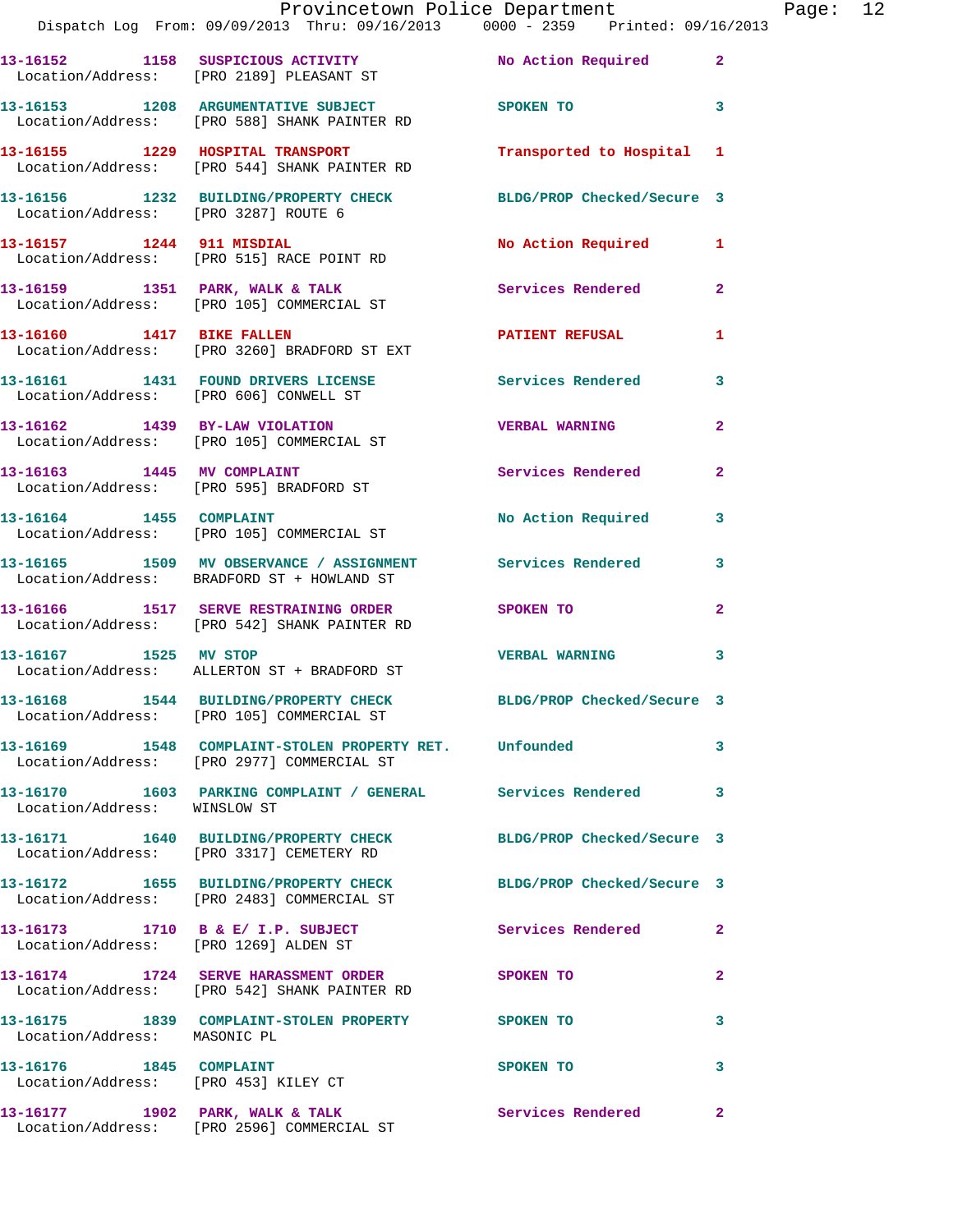|                                                                     | Provincetown Police Department<br>Dispatch Log From: 09/09/2013 Thru: 09/16/2013 0000 - 2359 Printed: 09/16/2013 |                            |                |
|---------------------------------------------------------------------|------------------------------------------------------------------------------------------------------------------|----------------------------|----------------|
|                                                                     | 13-16152 1158 SUSPICIOUS ACTIVITY<br>Location/Address: [PRO 2189] PLEASANT ST                                    | No Action Required         | $\mathbf{2}$   |
|                                                                     | 13-16153 1208 ARGUMENTATIVE SUBJECT<br>Location/Address: [PRO 588] SHANK PAINTER RD                              | SPOKEN TO                  | 3              |
|                                                                     | 13-16155 1229 HOSPITAL TRANSPORT<br>Location/Address: [PRO 544] SHANK PAINTER RD                                 | Transported to Hospital    | 1              |
| Location/Address: [PRO 3287] ROUTE 6                                | 13-16156 1232 BUILDING/PROPERTY CHECK                                                                            | BLDG/PROP Checked/Secure 3 |                |
| 13-16157 1244 911 MISDIAL                                           | Location/Address: [PRO 515] RACE POINT RD                                                                        | No Action Required         | 1              |
|                                                                     | 13-16159 1351 PARK, WALK & TALK<br>Location/Address: [PRO 105] COMMERCIAL ST                                     | <b>Services Rendered</b>   | $\overline{a}$ |
| 13-16160 1417 BIKE FALLEN                                           | Location/Address: [PRO 3260] BRADFORD ST EXT                                                                     | <b>PATIENT REFUSAL</b>     | 1              |
|                                                                     | 13-16161 1431 FOUND DRIVERS LICENSE<br>Location/Address: [PRO 606] CONWELL ST                                    | Services Rendered          | 3              |
|                                                                     | 13-16162 1439 BY-LAW VIOLATION<br>Location/Address: [PRO 105] COMMERCIAL ST                                      | <b>VERBAL WARNING</b>      | $\mathbf{2}$   |
|                                                                     | 13-16163 1445 MV COMPLAINT<br>Location/Address: [PRO 595] BRADFORD ST                                            | <b>Services Rendered</b>   | $\mathbf{2}$   |
| 13-16164 1455 COMPLAINT                                             | Location/Address: [PRO 105] COMMERCIAL ST                                                                        | No Action Required         | 3              |
|                                                                     | 13-16165 1509 MV OBSERVANCE / ASSIGNMENT Services Rendered<br>Location/Address: BRADFORD ST + HOWLAND ST         |                            | 3              |
|                                                                     | 13-16166 1517 SERVE RESTRAINING ORDER<br>Location/Address: [PRO 542] SHANK PAINTER RD                            | <b>SPOKEN TO</b>           | 2              |
| 13-16167 1525 MV STOP                                               | Location/Address: ALLERTON ST + BRADFORD ST                                                                      | <b>VERBAL WARNING</b>      | 3              |
|                                                                     | 13-16168 1544 BUILDING/PROPERTY CHECK BLDG/PROP Checked/Secure 3<br>Location/Address: [PRO 105] COMMERCIAL ST    |                            |                |
|                                                                     | 13-16169 1548 COMPLAINT-STOLEN PROPERTY RET. Unfounded<br>Location/Address: [PRO 2977] COMMERCIAL ST             |                            | 3              |
| Location/Address: WINSLOW ST                                        | 13-16170 1603 PARKING COMPLAINT / GENERAL Services Rendered                                                      |                            | 3              |
|                                                                     | 13-16171 1640 BUILDING/PROPERTY CHECK BLDG/PROP Checked/Secure 3<br>Location/Address: [PRO 3317] CEMETERY RD     |                            |                |
|                                                                     | 13-16172 1655 BUILDING/PROPERTY CHECK BLDG/PROP Checked/Secure 3<br>Location/Address: [PRO 2483] COMMERCIAL ST   |                            |                |
|                                                                     | 13-16173 1710 B & E/ I.P. SUBJECT<br>Location/Address: [PRO 1269] ALDEN ST                                       | <b>Services Rendered</b>   | $\mathbf{2}$   |
|                                                                     | 13-16174 1724 SERVE HARASSMENT ORDER<br>Location/Address: [PRO 542] SHANK PAINTER RD                             | SPOKEN TO                  | 2              |
| Location/Address: MASONIC PL                                        | 13-16175 1839 COMPLAINT-STOLEN PROPERTY SPOKEN TO                                                                |                            | 3              |
| 13-16176   1845   COMPLAINT<br>Location/Address: [PRO 453] KILEY CT |                                                                                                                  | SPOKEN TO                  | 3              |
|                                                                     | 13-16177 1902 PARK, WALK & TALK                                                                                  | Services Rendered          | $\mathbf{2}$   |

Location/Address: [PRO 2596] COMMERCIAL ST

Page:  $12$ <br> $13$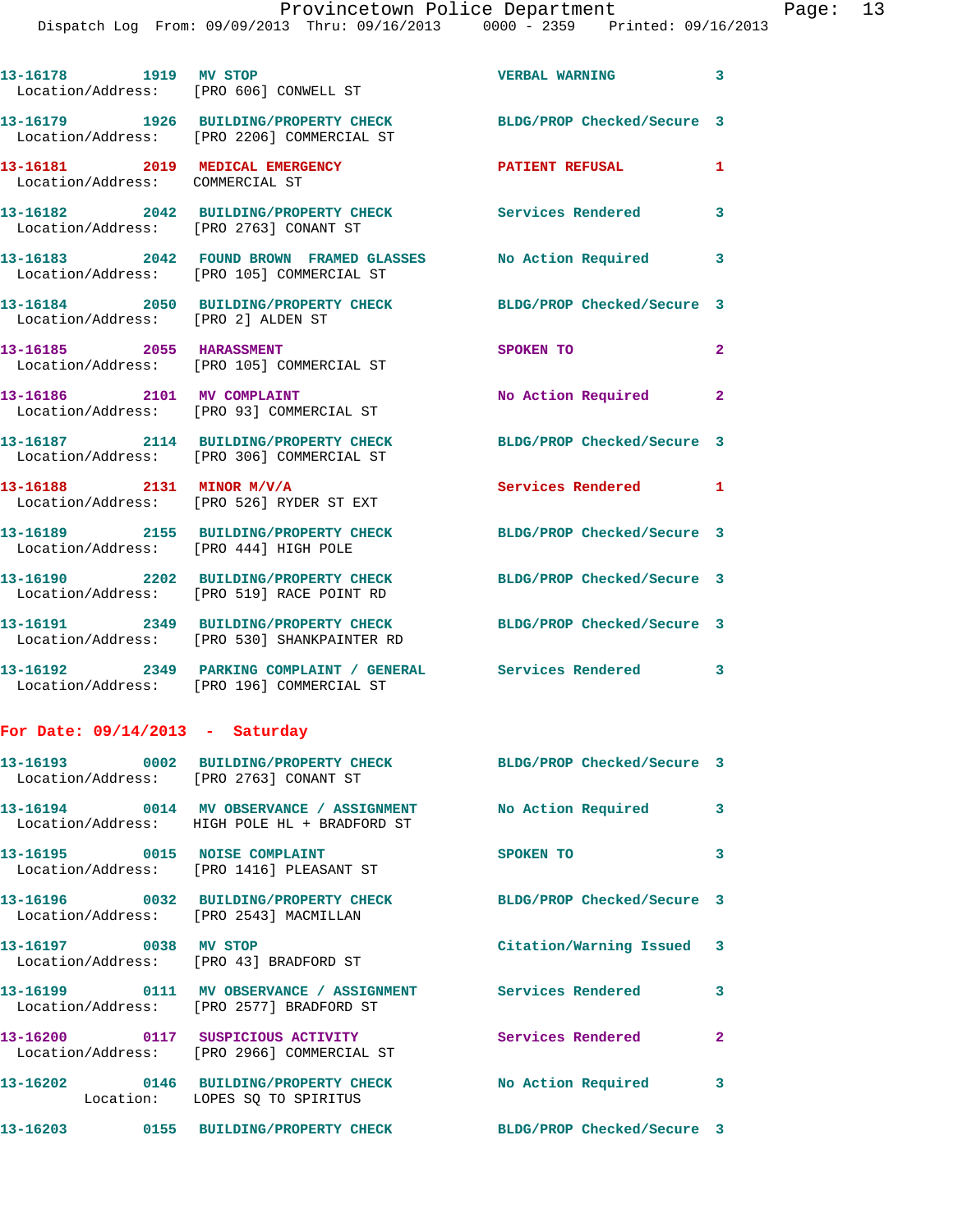| 13-16178 1919 MV STOP                                           | Location/Address: [PRO 606] CONWELL ST                                                                          | VERBAL WARNING 3           |                         |
|-----------------------------------------------------------------|-----------------------------------------------------------------------------------------------------------------|----------------------------|-------------------------|
|                                                                 | 13-16179 1926 BUILDING/PROPERTY CHECK<br>Location/Address: [PRO 2206] COMMERCIAL ST                             | BLDG/PROP Checked/Secure 3 |                         |
| Location/Address: COMMERCIAL ST                                 | 13-16181 2019 MEDICAL EMERGENCY                                                                                 | <b>PATIENT REFUSAL</b>     | 1                       |
| Location/Address: [PRO 2763] CONANT ST                          | 13-16182 2042 BUILDING/PROPERTY CHECK                                                                           | Services Rendered          | $\overline{\mathbf{3}}$ |
|                                                                 | Location/Address: [PRO 105] COMMERCIAL ST                                                                       |                            | 3                       |
| Location/Address: [PRO 2] ALDEN ST                              | 13-16184 2050 BUILDING/PROPERTY CHECK                                                                           | BLDG/PROP Checked/Secure 3 |                         |
| 13-16185 2055 HARASSMENT                                        | Location/Address: [PRO 105] COMMERCIAL ST                                                                       | SPOKEN TO                  | $\mathbf{2}$            |
| 13-16186 2101 MV COMPLAINT                                      | Location/Address: [PRO 93] COMMERCIAL ST                                                                        | No Action Required         | $\mathbf{2}$            |
|                                                                 | 13-16187 2114 BUILDING/PROPERTY CHECK<br>Location/Address: [PRO 306] COMMERCIAL ST                              | BLDG/PROP Checked/Secure 3 |                         |
| 13-16188 2131 MINOR M/V/A                                       | Location/Address: [PRO 526] RYDER ST EXT                                                                        | Services Rendered 1        |                         |
| Location/Address: [PRO 444] HIGH POLE                           | 13-16189 2155 BUILDING/PROPERTY CHECK                                                                           | BLDG/PROP Checked/Secure 3 |                         |
|                                                                 | 13-16190 2202 BUILDING/PROPERTY CHECK<br>Location/Address: [PRO 519] RACE POINT RD                              | BLDG/PROP Checked/Secure 3 |                         |
|                                                                 | 13-16191 2349 BUILDING/PROPERTY CHECK BLDG/PROP Checked/Secure 3<br>Location/Address: [PRO 530] SHANKPAINTER RD |                            |                         |
|                                                                 | 13-16192  2349  PARKING COMPLAINT / GENERAL Services Rendered 3<br>Location/Address: [PRO 196] COMMERCIAL ST    |                            |                         |
| For Date: $09/14/2013$ - Saturday                               |                                                                                                                 |                            |                         |
| Location/Address: [PRO 2763] CONANT ST                          | 13-16193 0002 BUILDING/PROPERTY CHECK                                                                           | BLDG/PROP Checked/Secure 3 |                         |
|                                                                 | Location/Address: HIGH POLE HL + BRADFORD ST                                                                    |                            | 3                       |
|                                                                 | 13-16195 0015 NOISE COMPLAINT<br>Location/Address: [PRO 1416] PLEASANT ST                                       | SPOKEN TO                  | 3                       |
| Location/Address: [PRO 2543] MACMILLAN                          | 13-16196 0032 BUILDING/PROPERTY CHECK                                                                           | BLDG/PROP Checked/Secure 3 |                         |
| 13-16197 0038 MV STOP<br>Location/Address: [PRO 43] BRADFORD ST |                                                                                                                 | Citation/Warning Issued 3  |                         |
|                                                                 | 13-16199 0111 MV OBSERVANCE / ASSIGNMENT Services Rendered 3<br>Location/Address: [PRO 2577] BRADFORD ST        |                            |                         |
|                                                                 | 13-16200 0117 SUSPICIOUS ACTIVITY<br>Location/Address: [PRO 2966] COMMERCIAL ST                                 | <b>Services Rendered</b>   | $\overline{2}$          |
|                                                                 | 13-16202 0146 BUILDING/PROPERTY CHECK No Action Required 3<br>Location: LOPES SQ TO SPIRITUS                    |                            |                         |
|                                                                 | 13-16203 0155 BUILDING/PROPERTY CHECK                                                                           | BLDG/PROP Checked/Secure 3 |                         |
|                                                                 |                                                                                                                 |                            |                         |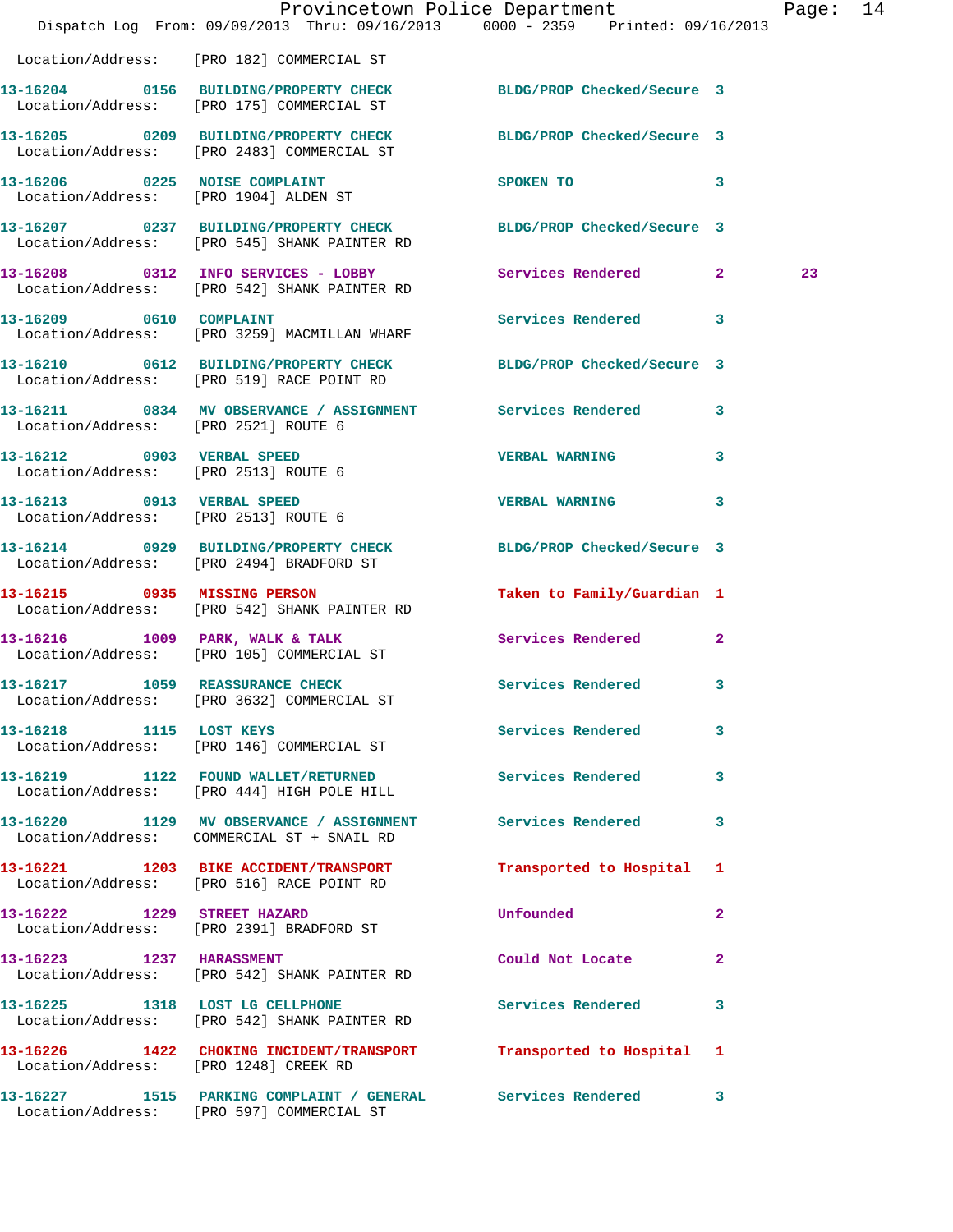|                                       | Dispatch Log From: 09/09/2013 Thru: 09/16/2013 0000 - 2359 Printed: 09/16/2013                                   | Provincetown Police Department                                                                                                                                                                                                             | Page: 14 |
|---------------------------------------|------------------------------------------------------------------------------------------------------------------|--------------------------------------------------------------------------------------------------------------------------------------------------------------------------------------------------------------------------------------------|----------|
|                                       | Location/Address: [PRO 182] COMMERCIAL ST                                                                        |                                                                                                                                                                                                                                            |          |
|                                       | 13-16204 0156 BUILDING/PROPERTY CHECK BLDG/PROP Checked/Secure 3<br>Location/Address: [PRO 175] COMMERCIAL ST    |                                                                                                                                                                                                                                            |          |
|                                       | 13-16205 0209 BUILDING/PROPERTY CHECK BLDG/PROP Checked/Secure 3<br>Location/Address: [PRO 2483] COMMERCIAL ST   |                                                                                                                                                                                                                                            |          |
|                                       | 13-16206 0225 NOISE COMPLAINT<br>Location/Address: [PRO 1904] ALDEN ST                                           | $\sim$ 3<br>SPOKEN TO THE SPOKEN OF THE SPOKEN OF THE SPOKEN OF THE SPOKEN OF THE SPOKEN OF THE SPOKEN OF THE SPOKEN OF THE SPOKEN OF THE SPOKEN OF THE SPOKEN OF THE SPOKEN OF THE SPOKEN OF THE SPOKEN OF THE SPOKEN OF THE SPOKEN OF TH |          |
|                                       | 13-16207 0237 BUILDING/PROPERTY CHECK BLDG/PROP Checked/Secure 3<br>Location/Address: [PRO 545] SHANK PAINTER RD |                                                                                                                                                                                                                                            |          |
|                                       | 13-16208 0312 INFO SERVICES - LOBBY Services Rendered 2<br>Location/Address: [PRO 542] SHANK PAINTER RD          |                                                                                                                                                                                                                                            | 23       |
|                                       | 13-16209 0610 COMPLAINT<br>Location/Address: [PRO 3259] MACMILLAN WHARF                                          | Services Rendered 3                                                                                                                                                                                                                        |          |
|                                       | 13-16210 0612 BUILDING/PROPERTY CHECK BLDG/PROP Checked/Secure 3<br>Location/Address: [PRO 519] RACE POINT RD    |                                                                                                                                                                                                                                            |          |
| Location/Address: [PRO 2521] ROUTE 6  | 13-16211 0834 MV OBSERVANCE / ASSIGNMENT Services Rendered 3                                                     |                                                                                                                                                                                                                                            |          |
| Location/Address: [PRO 2513] ROUTE 6  | 13-16212 0903 VERBAL SPEED                                                                                       | <b>VERBAL WARNING</b><br>3                                                                                                                                                                                                                 |          |
| Location/Address: [PRO 2513] ROUTE 6  | 13-16213 0913 VERBAL SPEED                                                                                       | VERBAL WARNING 3                                                                                                                                                                                                                           |          |
|                                       | 13-16214 0929 BUILDING/PROPERTY CHECK<br>Location/Address: [PRO 2494] BRADFORD ST                                | BLDG/PROP Checked/Secure 3                                                                                                                                                                                                                 |          |
| 13-16215 0935 MISSING PERSON          | Location/Address: [PRO 542] SHANK PAINTER RD                                                                     | Taken to Family/Guardian 1                                                                                                                                                                                                                 |          |
|                                       | 13-16216 1009 PARK, WALK & TALK<br>Location/Address: [PRO 105] COMMERCIAL ST                                     | Services Rendered 2                                                                                                                                                                                                                        |          |
| 13-16217 1059 REASSURANCE CHECK       | Location/Address: [PRO 3632] COMMERCIAL ST                                                                       | Services Rendered 3                                                                                                                                                                                                                        |          |
| 13-16218 1115 LOST KEYS               | Location/Address: [PRO 146] COMMERCIAL ST                                                                        | Services Rendered 3                                                                                                                                                                                                                        |          |
|                                       | 13-16219 1122 FOUND WALLET/RETURNED Services Rendered<br>Location/Address: [PRO 444] HIGH POLE HILL              | $\mathbf{3}$                                                                                                                                                                                                                               |          |
|                                       | 13-16220 1129 MV OBSERVANCE / ASSIGNMENT Services Rendered<br>Location/Address: COMMERCIAL ST + SNAIL RD         | 3                                                                                                                                                                                                                                          |          |
|                                       | 13-16221 1203 BIKE ACCIDENT/TRANSPORT<br>Location/Address: [PRO 516] RACE POINT RD                               | Transported to Hospital 1                                                                                                                                                                                                                  |          |
|                                       | 13-16222 1229 STREET HAZARD<br>Location/Address: [PRO 2391] BRADFORD ST                                          | Unfounded<br>$\mathbf{2}$                                                                                                                                                                                                                  |          |
| 13-16223 1237 HARASSMENT              | Location/Address: [PRO 542] SHANK PAINTER RD                                                                     | Could Not Locate 2                                                                                                                                                                                                                         |          |
|                                       | 13-16225 1318 LOST LG CELLPHONE<br>Location/Address: [PRO 542] SHANK PAINTER RD                                  | Services Rendered 3                                                                                                                                                                                                                        |          |
| Location/Address: [PRO 1248] CREEK RD | 13-16226 1422 CHOKING INCIDENT/TRANSPORT Transported to Hospital 1                                               |                                                                                                                                                                                                                                            |          |
|                                       | 13-16227 1515 PARKING COMPLAINT / GENERAL Services Rendered 3<br>Location/Address: [PRO 597] COMMERCIAL ST       |                                                                                                                                                                                                                                            |          |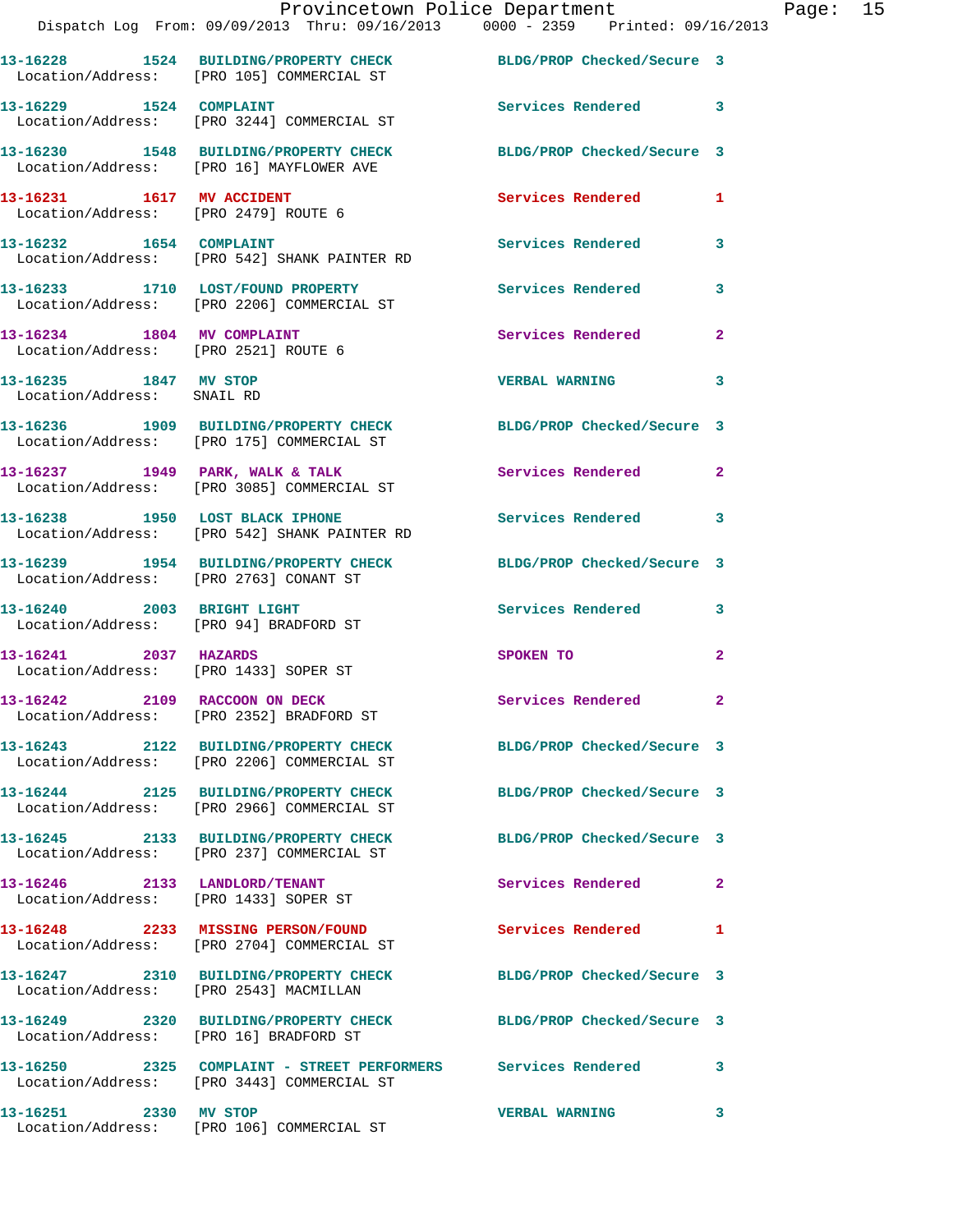|                                                                      | Provincetown Police Department                                                                                 |                            |                |
|----------------------------------------------------------------------|----------------------------------------------------------------------------------------------------------------|----------------------------|----------------|
|                                                                      | Dispatch Log From: 09/09/2013 Thru: 09/16/2013 0000 - 2359 Printed: 09/16/2013                                 |                            |                |
|                                                                      | 13-16228 1524 BUILDING/PROPERTY CHECK BLDG/PROP Checked/Secure 3<br>Location/Address: [PRO 105] COMMERCIAL ST  |                            |                |
| 13-16229 1524 COMPLAINT                                              | Location/Address: [PRO 3244] COMMERCIAL ST                                                                     | <b>Services Rendered</b>   | 3              |
|                                                                      | 13-16230 1548 BUILDING/PROPERTY CHECK<br>Location/Address: [PRO 16] MAYFLOWER AVE                              | BLDG/PROP Checked/Secure 3 |                |
| 13-16231 1617 MV ACCIDENT<br>Location/Address: [PRO 2479] ROUTE 6    |                                                                                                                | Services Rendered          | 1              |
| 13-16232 1654 COMPLAINT                                              | Location/Address: [PRO 542] SHANK PAINTER RD                                                                   | <b>Services Rendered</b>   | 3              |
|                                                                      | 13-16233 1710 LOST/FOUND PROPERTY<br>Location/Address: [PRO 2206] COMMERCIAL ST                                | <b>Services Rendered</b>   | 3              |
| 13-16234 1804 MV COMPLAINT<br>Location/Address: [PRO 2521] ROUTE 6   |                                                                                                                | Services Rendered          | $\overline{a}$ |
| 13-16235 1847 MV STOP<br>Location/Address: SNAIL RD                  |                                                                                                                | <b>VERBAL WARNING</b>      | 3              |
|                                                                      | 13-16236 1909 BUILDING/PROPERTY CHECK<br>Location/Address: [PRO 175] COMMERCIAL ST                             | BLDG/PROP Checked/Secure 3 |                |
|                                                                      | 13-16237 1949 PARK, WALK & TALK<br>Location/Address: [PRO 3085] COMMERCIAL ST                                  | Services Rendered          | $\mathbf{2}$   |
| 13-16238 1950 LOST BLACK IPHONE                                      | Location/Address: [PRO 542] SHANK PAINTER RD                                                                   | Services Rendered          | 3              |
| Location/Address: [PRO 2763] CONANT ST                               | 13-16239 1954 BUILDING/PROPERTY CHECK                                                                          | BLDG/PROP Checked/Secure 3 |                |
| 13-16240 2003 BRIGHT LIGHT<br>Location/Address: [PRO 94] BRADFORD ST |                                                                                                                | <b>Services Rendered</b>   | 3              |
| 13-16241 2037 HAZARDS<br>Location/Address: [PRO 1433] SOPER ST       |                                                                                                                | SPOKEN TO                  | $\mathbf{2}$   |
|                                                                      | 13-16242 2109 RACCOON ON DECK<br>Location/Address: [PRO 2352] BRADFORD ST                                      | <b>Services Rendered</b>   |                |
|                                                                      | 13-16243 2122 BUILDING/PROPERTY CHECK BLDG/PROP Checked/Secure 3<br>Location/Address: [PRO 2206] COMMERCIAL ST |                            |                |
|                                                                      | 13-16244 2125 BUILDING/PROPERTY CHECK<br>Location/Address: [PRO 2966] COMMERCIAL ST                            | BLDG/PROP Checked/Secure 3 |                |
|                                                                      | 13-16245 2133 BUILDING/PROPERTY CHECK<br>Location/Address: [PRO 237] COMMERCIAL ST                             | BLDG/PROP Checked/Secure 3 |                |
| 13-16246 2133 LANDLORD/TENANT                                        | Location/Address: [PRO 1433] SOPER ST                                                                          | Services Rendered          | $\overline{a}$ |
|                                                                      | 13-16248 2233 MISSING PERSON/FOUND<br>Location/Address: [PRO 2704] COMMERCIAL ST                               | <b>Services Rendered</b>   | 1              |
| Location/Address: [PRO 2543] MACMILLAN                               | 13-16247 2310 BUILDING/PROPERTY CHECK BLDG/PROP Checked/Secure 3                                               |                            |                |
|                                                                      | 13-16249 2320 BUILDING/PROPERTY CHECK BLDG/PROP Checked/Secure 3<br>Location/Address: [PRO 16] BRADFORD ST     |                            |                |
|                                                                      | 13-16250 2325 COMPLAINT - STREET PERFORMERS Services Rendered<br>Location/Address: [PRO 3443] COMMERCIAL ST    |                            | 3              |
| 13-16251 2330 MV STOP                                                |                                                                                                                | <b>VERBAL WARNING</b>      | 3              |

Location/Address: [PRO 106] COMMERCIAL ST

Page:  $15$ <br> $13$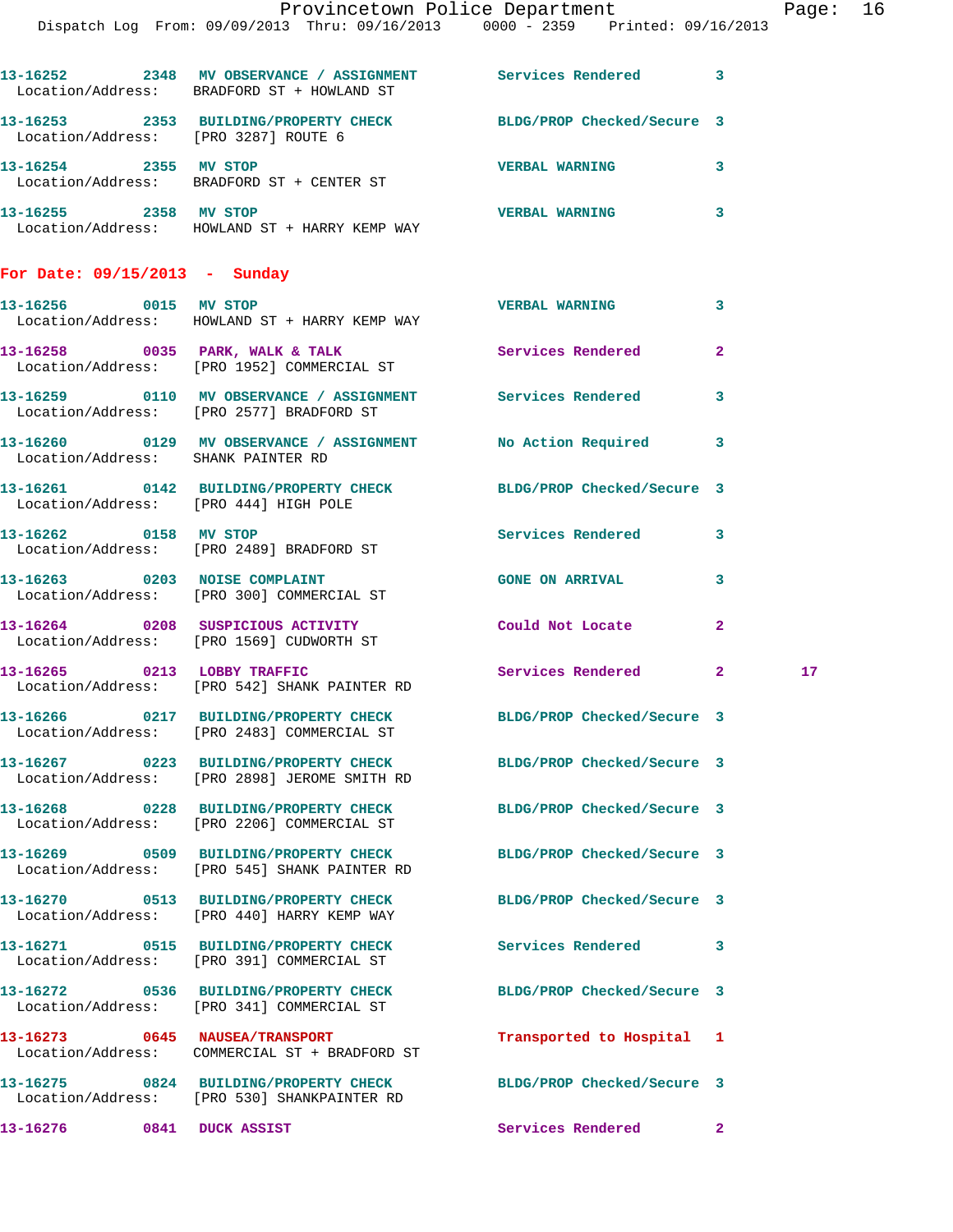|                               | 13-16252 2348 MV OBSERVANCE / ASSIGNMENT Services Rendered 3<br>Location/Address: BRADFORD ST + HOWLAND ST       |                            |                |                 |
|-------------------------------|------------------------------------------------------------------------------------------------------------------|----------------------------|----------------|-----------------|
|                               | 13-16253 2353 BUILDING/PROPERTY CHECK BLDG/PROP Checked/Secure 3<br>Location/Address: [PRO 3287] ROUTE 6         |                            |                |                 |
| 13-16254 2355 MV STOP         | Location/Address: BRADFORD ST + CENTER ST                                                                        | <b>VERBAL WARNING</b>      | 3              |                 |
| 13-16255 2358 MV STOP         | Location/Address: HOWLAND ST + HARRY KEMP WAY                                                                    | <b>VERBAL WARNING</b>      | 3              |                 |
| For Date: 09/15/2013 - Sunday |                                                                                                                  |                            |                |                 |
| 13-16256 0015 MV STOP         | Location/Address: HOWLAND ST + HARRY KEMP WAY                                                                    | <b>VERBAL WARNING</b>      | 3              |                 |
|                               | 13-16258 0035 PARK, WALK & TALK Services Rendered<br>Location/Address: [PRO 1952] COMMERCIAL ST                  |                            | $\mathbf{2}$   |                 |
|                               | 13-16259 0110 MV OBSERVANCE / ASSIGNMENT Services Rendered<br>Location/Address: [PRO 2577] BRADFORD ST           |                            | 3              |                 |
|                               | 13-16260 0129 MV OBSERVANCE / ASSIGNMENT No Action Required<br>Location/Address: SHANK PAINTER RD                |                            | 3              |                 |
|                               | 13-16261 0142 BUILDING/PROPERTY CHECK BLDG/PROP Checked/Secure 3<br>Location/Address: [PRO 444] HIGH POLE        |                            |                |                 |
|                               | 13-16262 0158 MV STOP<br>Location/Address: [PRO 2489] BRADFORD ST                                                | Services Rendered          | 3              |                 |
|                               | 13-16263 0203 NOISE COMPLAINT<br>Location/Address: [PRO 300] COMMERCIAL ST                                       | <b>GONE ON ARRIVAL</b>     | 3              |                 |
|                               | 13-16264 0208 SUSPICIOUS ACTIVITY<br>Location/Address: [PRO 1569] CUDWORTH ST                                    | Could Not Locate           | $\overline{2}$ |                 |
|                               | 13-16265 0213 LOBBY TRAFFIC<br>Location/Address: [PRO 542] SHANK PAINTER RD                                      | Services Rendered 2        |                | 17 <sub>1</sub> |
|                               | 13-16266 0217 BUILDING/PROPERTY CHECK BLDG/PROP Checked/Secure 3<br>Location/Address: [PRO 2483] COMMERCIAL ST   |                            |                |                 |
|                               | 13-16267 0223 BUILDING/PROPERTY CHECK BLDG/PROP Checked/Secure 3<br>Location/Address: [PRO 2898] JEROME SMITH RD |                            |                |                 |
|                               | 13-16268 0228 BUILDING/PROPERTY CHECK BLDG/PROP Checked/Secure 3<br>Location/Address: [PRO 2206] COMMERCIAL ST   |                            |                |                 |
|                               | 13-16269 0509 BUILDING/PROPERTY CHECK BLDG/PROP Checked/Secure 3<br>Location/Address: [PRO 545] SHANK PAINTER RD |                            |                |                 |
|                               | 13-16270 0513 BUILDING/PROPERTY CHECK<br>Location/Address: [PRO 440] HARRY KEMP WAY                              | BLDG/PROP Checked/Secure 3 |                |                 |
|                               | 13-16271 0515 BUILDING/PROPERTY CHECK<br>Location/Address: [PRO 391] COMMERCIAL ST                               | Services Rendered          | 3              |                 |
|                               | 13-16272 0536 BUILDING/PROPERTY CHECK BLDG/PROP Checked/Secure 3<br>Location/Address: [PRO 341] COMMERCIAL ST    |                            |                |                 |
|                               | 13-16273 0645 NAUSEA/TRANSPORT                                                                                   | Transported to Hospital 1  |                |                 |
|                               | 13-16275 0824 BUILDING/PROPERTY CHECK BLDG/PROP Checked/Secure 3<br>Location/Address: [PRO 530] SHANKPAINTER RD  |                            |                |                 |
| 13-16276                      | 0841 DUCK ASSIST                                                                                                 | Services Rendered          | $\mathbf{2}$   |                 |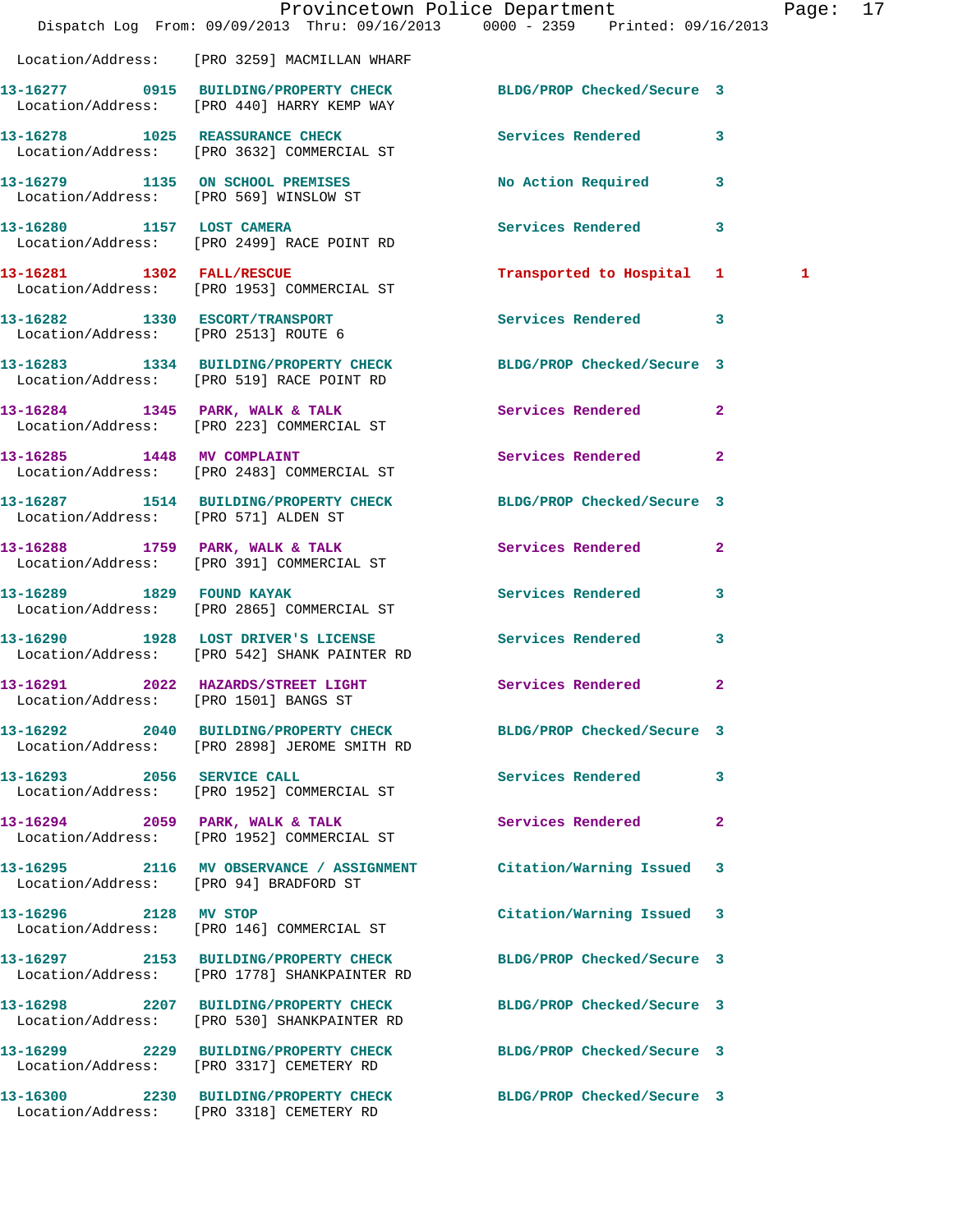|                           |                                                                                       | Provincetown Police Department<br>Dispatch Log From: 09/09/2013 Thru: 09/16/2013 0000 - 2359 Printed: 09/16/2013 | Page: 17     |  |
|---------------------------|---------------------------------------------------------------------------------------|------------------------------------------------------------------------------------------------------------------|--------------|--|
|                           |                                                                                       |                                                                                                                  |              |  |
|                           | Location/Address: [PRO 3259] MACMILLAN WHARF                                          |                                                                                                                  |              |  |
|                           | Location/Address: [PRO 440] HARRY KEMP WAY                                            | 13-16277 0915 BUILDING/PROPERTY CHECK BLDG/PROP Checked/Secure 3                                                 |              |  |
|                           | 13-16278 1025 REASSURANCE CHECK<br>Location/Address: [PRO 3632] COMMERCIAL ST         | Services Rendered 3                                                                                              |              |  |
|                           | 13-16279 1135 ON SCHOOL PREMISES<br>Location/Address: [PRO 569] WINSLOW ST            | No Action Required 3                                                                                             |              |  |
|                           | 13-16280 1157 LOST CAMERA<br>Location/Address: [PRO 2499] RACE POINT RD               | Services Rendered 3                                                                                              |              |  |
| 13-16281 1302 FALL/RESCUE | Location/Address: [PRO 1953] COMMERCIAL ST                                            | Transported to Hospital 1                                                                                        | $\mathbf{1}$ |  |
|                           | 13-16282 1330 ESCORT/TRANSPORT<br>Location/Address: [PRO 2513] ROUTE 6                | Services Rendered 3                                                                                              |              |  |
|                           | Location/Address: [PRO 519] RACE POINT RD                                             | 13-16283 1334 BUILDING/PROPERTY CHECK BLDG/PROP Checked/Secure 3                                                 |              |  |
|                           | 13-16284 1345 PARK, WALK & TALK<br>Location/Address: [PRO 223] COMMERCIAL ST          | <b>Services Rendered</b><br>$\mathbf{2}$                                                                         |              |  |
|                           | 13-16285 1448 MV COMPLAINT<br>Location/Address: [PRO 2483] COMMERCIAL ST              | Services Rendered<br>$\mathbf{2}$                                                                                |              |  |
|                           | Location/Address: [PRO 571] ALDEN ST                                                  | 13-16287 1514 BUILDING/PROPERTY CHECK BLDG/PROP Checked/Secure 3                                                 |              |  |
|                           | 13-16288 1759 PARK, WALK & TALK<br>Location/Address: [PRO 391] COMMERCIAL ST          | Services Rendered 2                                                                                              |              |  |
|                           | 13-16289    1829    FOUND KAYAK<br>Location/Address: [PRO 2865] COMMERCIAL ST         | Services Rendered 3                                                                                              |              |  |
|                           | 13-16290 1928 LOST DRIVER'S LICENSE<br>Location/Address: [PRO 542] SHANK PAINTER RD   | <b>Services Rendered</b><br>3                                                                                    |              |  |
|                           | Location/Address: [PRO 1501] BANGS ST                                                 | 13-16291 2022 HAZARDS/STREET LIGHT Services Rendered 2                                                           |              |  |
|                           | Location/Address: [PRO 2898] JEROME SMITH RD                                          | 13-16292 2040 BUILDING/PROPERTY CHECK BLDG/PROP Checked/Secure 3                                                 |              |  |
|                           | 13-16293 2056 SERVICE CALL<br>Location/Address: [PRO 1952] COMMERCIAL ST              | Services Rendered<br>3                                                                                           |              |  |
|                           | 13-16294 2059 PARK, WALK & TALK<br>Location/Address: [PRO 1952] COMMERCIAL ST         | Services Rendered<br>$\mathbf{2}$                                                                                |              |  |
|                           | 13-16295 2116 MV OBSERVANCE / ASSIGNMENT<br>Location/Address: [PRO 94] BRADFORD ST    | Citation/Warning Issued 3                                                                                        |              |  |
| 13-16296 2128 MV STOP     | Location/Address: [PRO 146] COMMERCIAL ST                                             | Citation/Warning Issued 3                                                                                        |              |  |
|                           | 13-16297 2153 BUILDING/PROPERTY CHECK<br>Location/Address: [PRO 1778] SHANKPAINTER RD | BLDG/PROP Checked/Secure 3                                                                                       |              |  |
|                           | Location/Address: [PRO 530] SHANKPAINTER RD                                           | 13-16298 2207 BUILDING/PROPERTY CHECK BLDG/PROP Checked/Secure 3                                                 |              |  |
|                           | Location/Address: [PRO 3317] CEMETERY RD                                              | 13-16299 2229 BUILDING/PROPERTY CHECK BLDG/PROP Checked/Secure 3                                                 |              |  |
|                           | Location/Address: [PRO 3318] CEMETERY RD                                              | 13-16300 2230 BUILDING/PROPERTY CHECK BLDG/PROP Checked/Secure 3                                                 |              |  |